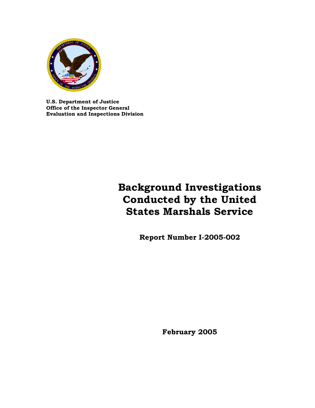

**U.S. Department of Justice Office of the Inspector General Evaluation and Inspections Division**

# **Background Investigations Conducted by the United States Marshals Service**

**Report Number I-2005-002** 

**February 2005**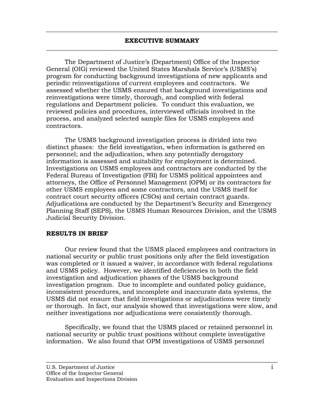$\overline{\phantom{a}}$  , and the contribution of the contribution of the contribution of the contribution of the contribution of the contribution of the contribution of the contribution of the contribution of the contribution of the

The Department of Justice's (Department) Office of the Inspector General (OIG) reviewed the United States Marshals Service's (USMS's) program for conducting background investigations of new applicants and periodic reinvestigations of current employees and contractors. We assessed whether the USMS ensured that background investigations and reinvestigations were timely, thorough, and complied with federal regulations and Department policies. To conduct this evaluation, we reviewed policies and procedures, interviewed officials involved in the process, and analyzed selected sample files for USMS employees and contractors.

The USMS background investigation process is divided into two distinct phases: the field investigation, when information is gathered on personnel; and the adjudication, when any potentially derogatory information is assessed and suitability for employment is determined. Investigations on USMS employees and contractors are conducted by the Federal Bureau of Investigation (FBI) for USMS political appointees and attorneys, the Office of Personnel Management (OPM) or its contractors for other USMS employees and some contractors, and the USMS itself for contract court security officers (CSOs) and certain contract guards. Adjudications are conducted by the Department's Security and Emergency Planning Staff (SEPS), the USMS Human Resources Division, and the USMS Judicial Security Division.

#### **RESULTS IN BRIEF**

Our review found that the USMS placed employees and contractors in national security or public trust positions only after the field investigation was completed or it issued a waiver, in accordance with federal regulations and USMS policy. However, we identified deficiencies in both the field investigation and adjudication phases of the USMS background investigation program. Due to incomplete and outdated policy guidance, inconsistent procedures, and incomplete and inaccurate data systems, the USMS did not ensure that field investigations or adjudications were timely or thorough. In fact, our analysis showed that investigations were slow, and neither investigations nor adjudications were consistently thorough.

Specifically, we found that the USMS placed or retained personnel in national security or public trust positions without complete investigative information. We also found that OPM investigations of USMS personnel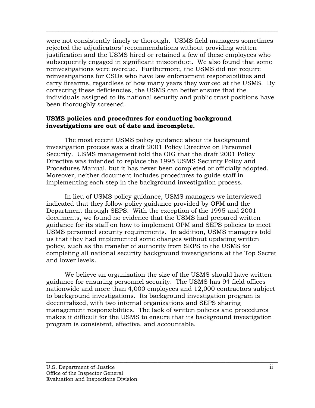were not consistently timely or thorough. USMS field managers sometimes rejected the adjudicators' recommendations without providing written justification and the USMS hired or retained a few of these employees who subsequently engaged in significant misconduct. We also found that some reinvestigations were overdue. Furthermore, the USMS did not require reinvestigations for CSOs who have law enforcement responsibilities and carry firearms, regardless of how many years they worked at the USMS. By correcting these deficiencies, the USMS can better ensure that the individuals assigned to its national security and public trust positions have been thoroughly screened.

 $\overline{\phantom{a}}$  , and the contribution of the contribution of the contribution of the contribution of the contribution of the contribution of the contribution of the contribution of the contribution of the contribution of the

#### **USMS policies and procedures for conducting background investigations are out of date and incomplete.**

The most recent USMS policy guidance about its background investigation process was a draft 2001 Policy Directive on Personnel Security. USMS management told the OIG that the draft 2001 Policy Directive was intended to replace the 1995 USMS Security Policy and Procedures Manual, but it has never been completed or officially adopted. Moreover, neither document includes procedures to guide staff in implementing each step in the background investigation process.

In lieu of USMS policy guidance, USMS managers we interviewed indicated that they follow policy guidance provided by OPM and the Department through SEPS. With the exception of the 1995 and 2001 documents, we found no evidence that the USMS had prepared written guidance for its staff on how to implement OPM and SEPS policies to meet USMS personnel security requirements. In addition, USMS managers told us that they had implemented some changes without updating written policy, such as the transfer of authority from SEPS to the USMS for completing all national security background investigations at the Top Secret and lower levels.

We believe an organization the size of the USMS should have written guidance for ensuring personnel security. The USMS has 94 field offices nationwide and more than 4,000 employees and 12,000 contractors subject to background investigations. Its background investigation program is decentralized, with two internal organizations and SEPS sharing management responsibilities. The lack of written policies and procedures makes it difficult for the USMS to ensure that its background investigation program is consistent, effective, and accountable.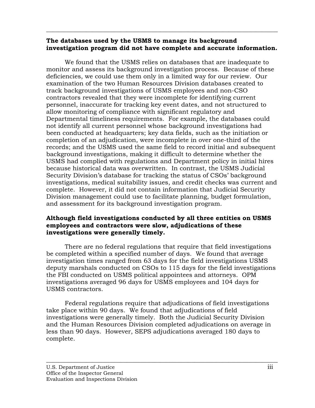#### **The databases used by the USMS to manage its background investigation program did not have complete and accurate information.**

 $\overline{\phantom{a}}$  , and the contribution of the contribution of the contribution of the contribution of the contribution of the contribution of the contribution of the contribution of the contribution of the contribution of the

We found that the USMS relies on databases that are inadequate to monitor and assess its background investigation process. Because of these deficiencies, we could use them only in a limited way for our review. Our examination of the two Human Resources Division databases created to track background investigations of USMS employees and non-CSO contractors revealed that they were incomplete for identifying current personnel, inaccurate for tracking key event dates, and not structured to allow monitoring of compliance with significant regulatory and Departmental timeliness requirements. For example, the databases could not identify all current personnel whose background investigations had been conducted at headquarters; key data fields, such as the initiation or completion of an adjudication, were incomplete in over one-third of the records; and the USMS used the same field to record initial and subsequent background investigations, making it difficult to determine whether the USMS had complied with regulations and Department policy in initial hires because historical data was overwritten. In contrast, the USMS Judicial Security Division's database for tracking the status of CSOs' background investigations, medical suitability issues, and credit checks was current and complete. However, it did not contain information that Judicial Security Division management could use to facilitate planning, budget formulation, and assessment for its background investigation program.

## **Although field investigations conducted by all three entities on USMS employees and contractors were slow, adjudications of these investigations were generally timely.**

There are no federal regulations that require that field investigations be completed within a specified number of days. We found that average investigation times ranged from 63 days for the field investigations USMS deputy marshals conducted on CSOs to 115 days for the field investigations the FBI conducted on USMS political appointees and attorneys. OPM investigations averaged 96 days for USMS employees and 104 days for USMS contractors.

Federal regulations require that adjudications of field investigations take place within 90 days. We found that adjudications of field investigations were generally timely. Both the Judicial Security Division and the Human Resources Division completed adjudications on average in less than 90 days. However, SEPS adjudications averaged 180 days to complete.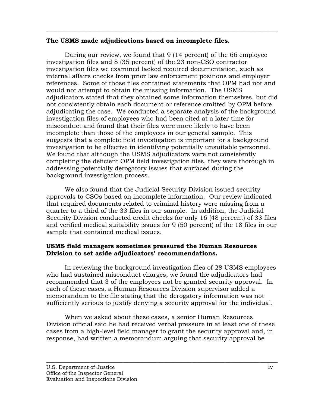#### **The USMS made adjudications based on incomplete files.**

During our review, we found that 9 (14 percent) of the 66 employee investigation files and 8 (35 percent) of the 23 non-CSO contractor investigation files we examined lacked required documentation, such as internal affairs checks from prior law enforcement positions and employer references. Some of those files contained statements that OPM had not and would not attempt to obtain the missing information. The USMS adjudicators stated that they obtained some information themselves, but did not consistently obtain each document or reference omitted by OPM before adjudicating the case. We conducted a separate analysis of the background investigation files of employees who had been cited at a later time for misconduct and found that their files were more likely to have been incomplete than those of the employees in our general sample. This suggests that a complete field investigation is important for a background investigation to be effective in identifying potentially unsuitable personnel. We found that although the USMS adjudicators were not consistently completing the deficient OPM field investigation files, they were thorough in addressing potentially derogatory issues that surfaced during the background investigation process.

 $\overline{\phantom{a}}$  , and the contribution of the contribution of the contribution of the contribution of the contribution of the contribution of the contribution of the contribution of the contribution of the contribution of the

We also found that the Judicial Security Division issued security approvals to CSOs based on incomplete information. Our review indicated that required documents related to criminal history were missing from a quarter to a third of the 33 files in our sample. In addition, the Judicial Security Division conducted credit checks for only 16 (48 percent) of 33 files and verified medical suitability issues for 9 (50 percent) of the 18 files in our sample that contained medical issues.

## **USMS field managers sometimes pressured the Human Resources Division to set aside adjudicators' recommendations.**

In reviewing the background investigation files of 28 USMS employees who had sustained misconduct charges, we found the adjudicators had recommended that 3 of the employees not be granted security approval. In each of these cases, a Human Resources Division supervisor added a memorandum to the file stating that the derogatory information was not sufficiently serious to justify denying a security approval for the individual.

When we asked about these cases, a senior Human Resources Division official said he had received verbal pressure in at least one of these cases from a high-level field manager to grant the security approval and, in response, had written a memorandum arguing that security approval be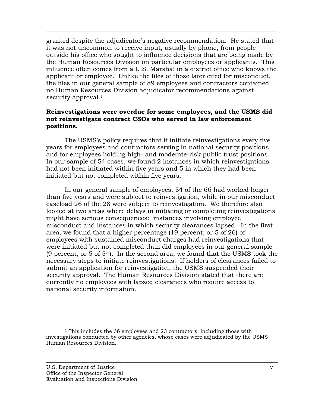granted despite the adjudicator's negative recommendation. He stated that it was not uncommon to receive input, usually by phone, from people outside his office who sought to influence decisions that are being made by the Human Resources Division on particular employees or applicants. This influence often comes from a U.S. Marshal in a district office who knows the applicant or employee. Unlike the files of those later cited for misconduct, the files in our general sample of 89 employees and contractors contained no Human Resources Division adjudicator recommendations against security approval.<sup>1</sup>

 $\overline{\phantom{a}}$  , and the contribution of the contribution of the contribution of the contribution of the contribution of the contribution of the contribution of the contribution of the contribution of the contribution of the

### **Reinvestigations were overdue for some employees, and the USMS did not reinvestigate contract CSOs who served in law enforcement positions.**

The USMS's policy requires that it initiate reinvestigations every five years for employees and contractors serving in national security positions and for employees holding high- and moderate-risk public trust positions. In our sample of 54 cases, we found 2 instances in which reinvestigations had not been initiated within five years and 5 in which they had been initiated but not completed within five years.

In our general sample of employees, 54 of the 66 had worked longer than five years and were subject to reinvestigation, while in our misconduct caseload 26 of the 28 were subject to reinvestigation. We therefore also looked at two areas where delays in initiating or completing reinvestigations might have serious consequences: instances involving employee misconduct and instances in which security clearances lapsed. In the first area, we found that a higher percentage (19 percent, or 5 of 26) of employees with sustained misconduct charges had reinvestigations that were initiated but not completed than did employees in our general sample (9 percent, or 5 of 54). In the second area, we found that the USMS took the necessary steps to initiate reinvestigations. If holders of clearances failed to submit an application for reinvestigation, the USMS suspended their security approval. The Human Resources Division stated that there are currently no employees with lapsed clearances who require access to national security information.

 $\overline{\phantom{a}}$  , and the contribution of the contribution of the contribution of the contribution of the contribution of the contribution of the contribution of the contribution of the contribution of the contribution of the

-

<sup>&</sup>lt;sup>1</sup> This includes the 66 employees and 23 contractors, including those with investigations conducted by other agencies, whose cases were adjudicated by the USMS Human Resources Division.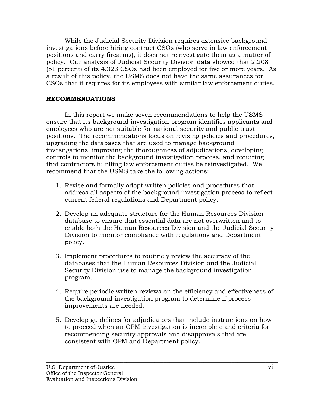While the Judicial Security Division requires extensive background investigations before hiring contract CSOs (who serve in law enforcement positions and carry firearms), it does not reinvestigate them as a matter of policy. Our analysis of Judicial Security Division data showed that 2,208 (51 percent) of its 4,323 CSOs had been employed for five or more years. As a result of this policy, the USMS does not have the same assurances for CSOs that it requires for its employees with similar law enforcement duties.

 $\overline{\phantom{a}}$  , and the contribution of the contribution of the contribution of the contribution of the contribution of the contribution of the contribution of the contribution of the contribution of the contribution of the

## **RECOMMENDATIONS**

In this report we make seven recommendations to help the USMS ensure that its background investigation program identifies applicants and employees who are not suitable for national security and public trust positions. The recommendations focus on revising policies and procedures, upgrading the databases that are used to manage background investigations, improving the thoroughness of adjudications, developing controls to monitor the background investigation process, and requiring that contractors fulfilling law enforcement duties be reinvestigated. We recommend that the USMS take the following actions:

- 1. Revise and formally adopt written policies and procedures that address all aspects of the background investigation process to reflect current federal regulations and Department policy.
- 2. Develop an adequate structure for the Human Resources Division database to ensure that essential data are not overwritten and to enable both the Human Resources Division and the Judicial Security Division to monitor compliance with regulations and Department policy.
- 3. Implement procedures to routinely review the accuracy of the databases that the Human Resources Division and the Judicial Security Division use to manage the background investigation program.
- 4. Require periodic written reviews on the efficiency and effectiveness of the background investigation program to determine if process improvements are needed.
- 5. Develop guidelines for adjudicators that include instructions on how to proceed when an OPM investigation is incomplete and criteria for recommending security approvals and disapprovals that are consistent with OPM and Department policy.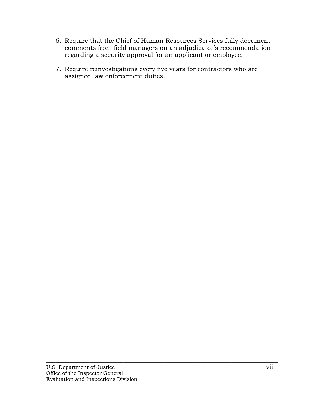6. Require that the Chief of Human Resources Services fully document comments from field managers on an adjudicator's recommendation regarding a security approval for an applicant or employee.

 $\overline{\phantom{a}}$  , and the contribution of the contribution of the contribution of the contribution of the contribution of the contribution of the contribution of the contribution of the contribution of the contribution of the

7. Require reinvestigations every five years for contractors who are assigned law enforcement duties.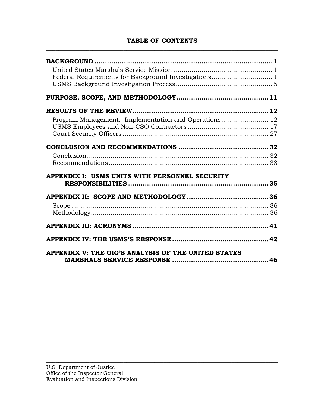## **TABLE OF CONTENTS**   $\overline{\phantom{a}}$  , and the contribution of the contribution of the contribution of the contribution of the contribution of the contribution of the contribution of the contribution of the contribution of the contribution of the

 $\overline{\phantom{a}}$  , and the contribution of the contribution of the contribution of the contribution of the contribution of the contribution of the contribution of the contribution of the contribution of the contribution of the

| APPENDIX I: USMS UNITS WITH PERSONNEL SECURITY      |  |
|-----------------------------------------------------|--|
|                                                     |  |
|                                                     |  |
|                                                     |  |
|                                                     |  |
|                                                     |  |
|                                                     |  |
| APPENDIX V: THE OIG'S ANALYSIS OF THE UNITED STATES |  |
|                                                     |  |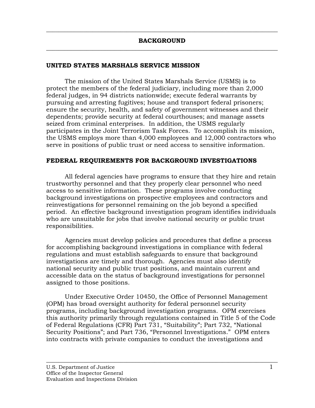<span id="page-9-0"></span> $\overline{\phantom{a}}$  , and the contribution of the contribution of the contribution of the contribution of the contribution of the contribution of the contribution of the contribution of the contribution of the contribution of the

### **UNITED STATES MARSHALS SERVICE MISSION**

The mission of the United States Marshals Service (USMS) is to protect the members of the federal judiciary, including more than 2,000 federal judges, in 94 districts nationwide; execute federal warrants by pursuing and arresting fugitives; house and transport federal prisoners; ensure the security, health, and safety of government witnesses and their dependents; provide security at federal courthouses; and manage assets seized from criminal enterprises. In addition, the USMS regularly participates in the Joint Terrorism Task Forces. To accomplish its mission, the USMS employs more than 4,000 employees and 12,000 contractors who serve in positions of public trust or need access to sensitive information.

#### **FEDERAL REQUIREMENTS FOR BACKGROUND INVESTIGATIONS**

All federal agencies have programs to ensure that they hire and retain trustworthy personnel and that they properly clear personnel who need access to sensitive information. These programs involve conducting background investigations on prospective employees and contractors and reinvestigations for personnel remaining on the job beyond a specified period. An effective background investigation program identifies individuals who are unsuitable for jobs that involve national security or public trust responsibilities.

Agencies must develop policies and procedures that define a process for accomplishing background investigations in compliance with federal regulations and must establish safeguards to ensure that background investigations are timely and thorough. Agencies must also identify national security and public trust positions, and maintain current and accessible data on the status of background investigations for personnel assigned to those positions.

Under Executive Order 10450, the Office of Personnel Management (OPM) has broad oversight authority for federal personnel security programs, including background investigation programs. OPM exercises this authority primarily through regulations contained in Title 5 of the Code of Federal Regulations (CFR) Part 731, "Suitability"; Part 732, "National Security Positions"; and Part 736, "Personnel Investigations." OPM enters into contracts with private companies to conduct the investigations and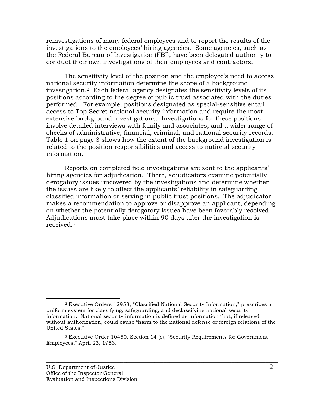reinvestigations of many federal employees and to report the results of the investigations to the employees' hiring agencies. Some agencies, such as the Federal Bureau of Investigation (FBI), have been delegated authority to conduct their own investigations of their employees and contractors.

 $\overline{\phantom{a}}$  , and the contribution of the contribution of the contribution of the contribution of the contribution of the contribution of the contribution of the contribution of the contribution of the contribution of the

The sensitivity level of the position and the employee's need to access national security information determine the scope of a background investigation.2 Each federal agency designates the sensitivity levels of its positions according to the degree of public trust associated with the duties performed. For example, positions designated as special-sensitive entail access to Top Secret national security information and require the most extensive background investigations. Investigations for these positions involve detailed interviews with family and associates, and a wider range of checks of administrative, financial, criminal, and national security records. Table 1 on page 3 shows how the extent of the background investigation is related to the position responsibilities and access to national security information.

Reports on completed field investigations are sent to the applicants' hiring agencies for adjudication. There, adjudicators examine potentially derogatory issues uncovered by the investigations and determine whether the issues are likely to affect the applicants' reliability in safeguarding classified information or serving in public trust positions. The adjudicator makes a recommendation to approve or disapprove an applicant, depending on whether the potentially derogatory issues have been favorably resolved. Adjudications must take place within 90 days after the investigation is received.3

 <sup>2</sup> Executive Orders 12958, "Classified National Security Information," prescribes a uniform system for classifying, safeguarding, and declassifying national security information. National security information is defined as information that, if released without authorization, could cause "harm to the national defense or foreign relations of the United States."

<sup>3</sup> Executive Order 10450, Section 14 (c), "Security Requirements for Government Employees," April 23, 1953.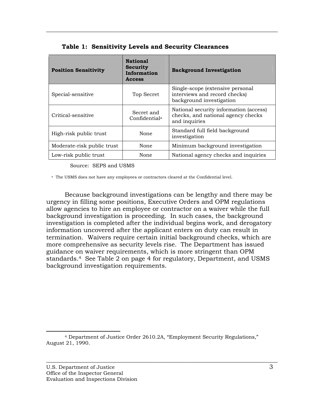| <b>Position Sensitivity</b> | <b>National</b><br><b>Security</b><br>Information<br><b>Access</b> | <b>Background Investigation</b>                                                               |
|-----------------------------|--------------------------------------------------------------------|-----------------------------------------------------------------------------------------------|
| Special-sensitive           | Top Secret                                                         | Single-scope (extensive personal<br>interviews and record checks)<br>background investigation |
| Critical-sensitive          | Secret and<br>Confidential <sup>a</sup>                            | National security information (access)<br>checks, and national agency checks<br>and inquiries |
| High-risk public trust      | None                                                               | Standard full field background<br>investigation                                               |
| Moderate-risk public trust  | None                                                               | Minimum background investigation                                                              |
| Low-risk public trust       | None                                                               | National agency checks and inquiries                                                          |

 $\overline{\phantom{a}}$  , and the contribution of the contribution of the contribution of the contribution of the contribution of the contribution of the contribution of the contribution of the contribution of the contribution of the

|  |  |  | Table 1: Sensitivity Levels and Security Clearances |  |
|--|--|--|-----------------------------------------------------|--|
|--|--|--|-----------------------------------------------------|--|

Source: SEPS and USMS

<sup>a</sup> The USMS does not have any employees or contractors cleared at the Confidential level.

Because background investigations can be lengthy and there may be urgency in filling some positions, Executive Orders and OPM regulations allow agencies to hire an employee or contractor on a waiver while the full background investigation is proceeding. In such cases, the background investigation is completed after the individual begins work, and derogatory information uncovered after the applicant enters on duty can result in termination. Waivers require certain initial background checks, which are more comprehensive as security levels rise. The Department has issued guidance on waiver requirements, which is more stringent than OPM standards.4 See Table 2 on page 4 for regulatory, Department, and USMS background investigation requirements.

 <sup>4</sup> Department of Justice Order 2610.2A, "Employment Security Regulations," August 21, 1990.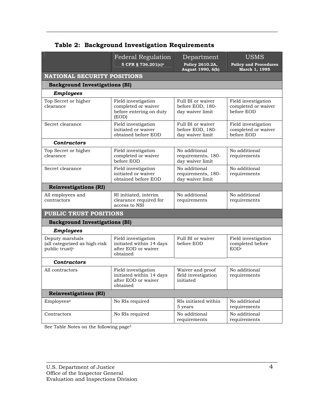|                                                                                | <b>Federal Regulation</b><br>5 CFR § 736.201(c) <sup>a</sup>                       | Department<br>Policy 2610.2A,<br>August 1990, 6(b)        | <b>USMS</b><br><b>Policy and Procedures</b><br>March 1, 1995 |
|--------------------------------------------------------------------------------|------------------------------------------------------------------------------------|-----------------------------------------------------------|--------------------------------------------------------------|
| <b>NATIONAL SECURITY POSITIONS</b>                                             |                                                                                    |                                                           |                                                              |
| <b>Background Investigations (BI)</b>                                          |                                                                                    |                                                           |                                                              |
| <b>Employees</b>                                                               |                                                                                    |                                                           |                                                              |
| Top Secret or higher<br>clearance                                              | Field investigation<br>completed or waiver<br>before entering on duty<br>(EOD)     | Full BI or waiver<br>before EOD, 180-<br>day waiver limit | Field investigation<br>completed or waiver<br>before EOD     |
| Secret clearance                                                               | Field investigation<br>initiated or waiver<br>obtained before EOD                  | Full BI or waiver<br>before EOD, 180-<br>day waiver limit | Field investigation<br>completed or waiver<br>before EOD     |
| <b>Contractors</b>                                                             |                                                                                    |                                                           |                                                              |
| Top Secret or higher<br>clearance                                              | Field investigation<br>completed or waiver<br>before EOD                           | No additional<br>requirements, 180-<br>day waiver limit   | No additional<br>requirements                                |
| Secret clearance                                                               | Field investigation<br>initiated or waiver<br>obtained before EOD                  | No additional<br>requirements, 180-<br>day waiver limit   | No additional<br>requirements                                |
| <b>Reinvestigations (RI)</b>                                                   |                                                                                    |                                                           |                                                              |
| All employees and<br>contractors                                               | RI initiated, interim<br>clearance required for<br>access to NSI                   | No additional<br>requirements                             | No additional<br>requirements                                |
| <b>PUBLIC TRUST POSITIONS</b>                                                  |                                                                                    |                                                           |                                                              |
| <b>Background Investigations (BI)</b>                                          |                                                                                    |                                                           |                                                              |
| <b>Employees</b>                                                               |                                                                                    |                                                           |                                                              |
| Deputy marshals<br>(all categorized as high-risk<br>public trust) <sup>b</sup> | Field investigation<br>initiated within 14 days<br>after EOD or waiver<br>obtained | Full BI or waiver<br>before EOD                           | Field investigation<br>completed before<br>EODc              |
| <b>Contractors</b>                                                             |                                                                                    |                                                           |                                                              |
| All contractors                                                                | Field investigation<br>initiated within 14 days<br>after EOD or waiver<br>obtained | Waiver and proof<br>field investigation<br>initiated      | No additional<br>requirements                                |
| <b>Reinvestigations (RI)</b>                                                   |                                                                                    |                                                           |                                                              |
| Employees <sup>d</sup>                                                         | No RIs required                                                                    | RIs initiated within<br>5 years                           | No additional<br>requirements                                |
| Contractors                                                                    | No RIs required                                                                    | No additional<br>requirements                             | No additional<br>requirements                                |

 $\overline{\phantom{a}}$  , and the contribution of the contribution of the contribution of the contribution of the contribution of the contribution of the contribution of the contribution of the contribution of the contribution of the

## **Table 2: Background Investigation Requirements**

 $\overline{\phantom{a}}$  , and the contribution of the contribution of the contribution of the contribution of the contribution of the contribution of the contribution of the contribution of the contribution of the contribution of the

See Table Notes on the following page5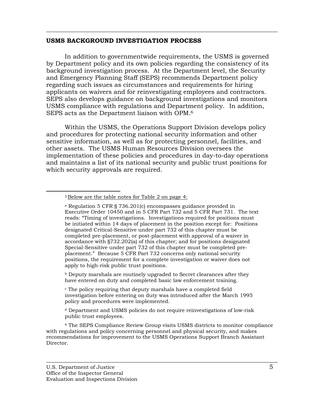#### **USMS BACKGROUND INVESTIGATION PROCESS**

In addition to governmentwide requirements, the USMS is governed by Department policy and its own policies regarding the consistency of its background investigation process. At the Department level, the Security and Emergency Planning Staff (SEPS) recommends Department policy regarding such issues as circumstances and requirements for hiring applicants on waivers and for reinvestigating employees and contractors. SEPS also develops guidance on background investigations and monitors USMS compliance with regulations and Department policy. In addition, SEPS acts as the Department liaison with OPM.6

<span id="page-13-0"></span> $\overline{\phantom{a}}$  , and the contribution of the contribution of the contribution of the contribution of the contribution of the contribution of the contribution of the contribution of the contribution of the contribution of the

Within the USMS, the Operations Support Division develops policy and procedures for protecting national security information and other sensitive information, as well as for protecting personnel, facilities, and other assets. The USMS Human Resources Division oversees the implementation of these policies and procedures in day-to-day operations and maintains a list of its national security and public trust positions for which security approvals are required.

 $\beta$  Deputy marshals are routinely upgraded to Secret clearances after they have entered on duty and completed basic law enforcement training.

c The policy requiring that deputy marshals have a completed field investigation before entering on duty was introduced after the March 1995 policy and procedures were implemented.

d Department and USMS policies do not require reinvestigations of low-risk public trust employees.

6 The SEPS Compliance Review Group visits USMS districts to monitor compliance with regulations and policy concerning personnel and physical security, and makes recommendations for improvement to the USMS Operations Support Branch Assistant Director.

 <sup>5</sup> Below are the table notes for Table 2 on page 4:

a Regulation 5 CFR § 736.201(c) encompasses guidance provided in Executive Order 10450 and in 5 CFR Part 732 and 5 CFR Part 731. The text reads: "Timing of investigations. Investigations required for positions must be initiated within 14 days of placement in the position except for: Positions designated Critical-Sensitive under part 732 of this chapter must be completed pre-placement, or post-placement with approval of a waiver in accordance with §732.202(a) of this chapter; and for positions designated Special-Sensitive under part 732 of this chapter must be completed preplacement." Because 5 CFR Part 732 concerns only national security positions, the requirement for a complete investigation or waiver does not apply to high-risk public trust positions.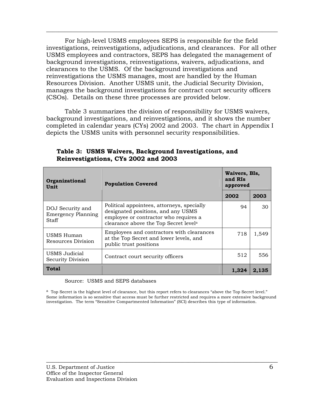For high-level USMS employees SEPS is responsible for the field investigations, reinvestigations, adjudications, and clearances. For all other USMS employees and contractors, SEPS has delegated the management of background investigations, reinvestigations, waivers, adjudications, and clearances to the USMS. Of the background investigations and reinvestigations the USMS manages, most are handled by the Human Resources Division. Another USMS unit, the Judicial Security Division, manages the background investigations for contract court security officers (CSOs). Details on these three processes are provided below.

 $\overline{\phantom{a}}$  , and the contribution of the contribution of the contribution of the contribution of the contribution of the contribution of the contribution of the contribution of the contribution of the contribution of the

Table 3 summarizes the division of responsibility for USMS waivers, background investigations, and reinvestigations, and it shows the number completed in calendar years (CYs) 2002 and 2003. The chart in Appendix I depicts the USMS units with personnel security responsibilities.

| <b>Organizational</b><br>Unit                          | <b>Population Covered</b>                                                                                                                                          |       | Waivers, BIs,<br>and RIs<br>approved |  |
|--------------------------------------------------------|--------------------------------------------------------------------------------------------------------------------------------------------------------------------|-------|--------------------------------------|--|
|                                                        |                                                                                                                                                                    | 2002  | 2003                                 |  |
| DOJ Security and<br><b>Emergency Planning</b><br>Staff | Political appointees, attorneys, specially<br>designated positions, and any USMS<br>employee or contractor who requires a<br>clearance above the Top Secret levela | 94    | 30                                   |  |
| USMS Human<br>Resources Division                       | Employees and contractors with clearances<br>at the Top Secret and lower levels, and<br>public trust positions                                                     | 718   | 1,549                                |  |
| USMS Judicial<br>Security Division                     | Contract court security officers                                                                                                                                   | 512   | 556                                  |  |
| <b>Total</b>                                           |                                                                                                                                                                    | 1.324 | 2.135                                |  |

### **Table 3: USMS Waivers, Background Investigations, and Reinvestigations, CYs 2002 and 2003**

Source: USMS and SEPS databases

a Top Secret is the highest level of clearance, but this report refers to clearances "above the Top Secret level." Some information is so sensitive that access must be further restricted and requires a more extensive background investigation. The term "Sensitive Compartmented Information" (SCI) describes this type of information.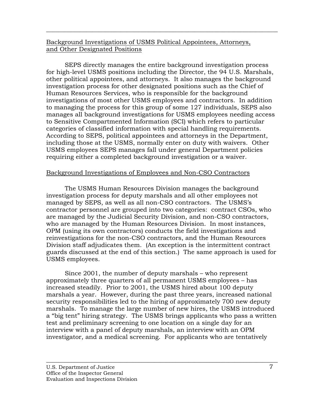## Background Investigations of USMS Political Appointees, Attorneys, and Other Designated Positions

 $\overline{\phantom{a}}$  , and the contribution of the contribution of the contribution of the contribution of the contribution of the contribution of the contribution of the contribution of the contribution of the contribution of the

SEPS directly manages the entire background investigation process for high-level USMS positions including the Director, the 94 U.S. Marshals, other political appointees, and attorneys. It also manages the background investigation process for other designated positions such as the Chief of Human Resources Services, who is responsible for the background investigations of most other USMS employees and contractors. In addition to managing the process for this group of some 127 individuals, SEPS also manages all background investigations for USMS employees needing access to Sensitive Compartmented Information (SCI) which refers to particular categories of classified information with special handling requirements. According to SEPS, political appointees and attorneys in the Department, including those at the USMS, normally enter on duty with waivers. Other USMS employees SEPS manages fall under general Department policies requiring either a completed background investigation or a waiver.

### Background Investigations of Employees and Non-CSO Contractors

The USMS Human Resources Division manages the background investigation process for deputy marshals and all other employees not managed by SEPS, as well as all non-CSO contractors. The USMS's contractor personnel are grouped into two categories: contract CSOs, who are managed by the Judicial Security Division, and non-CSO contractors, who are managed by the Human Resources Division. In most instances, OPM (using its own contractors) conducts the field investigations and reinvestigations for the non-CSO contractors, and the Human Resources Division staff adjudicates them. (An exception is the intermittent contract guards discussed at the end of this section.) The same approach is used for USMS employees.

Since 2001, the number of deputy marshals – who represent approximately three quarters of all permanent USMS employees – has increased steadily. Prior to 2001, the USMS hired about 100 deputy marshals a year. However, during the past three years, increased national security responsibilities led to the hiring of approximately 700 new deputy marshals. To manage the large number of new hires, the USMS introduced a "big tent" hiring strategy. The USMS brings applicants who pass a written test and preliminary screening to one location on a single day for an interview with a panel of deputy marshals, an interview with an OPM investigator, and a medical screening. For applicants who are tentatively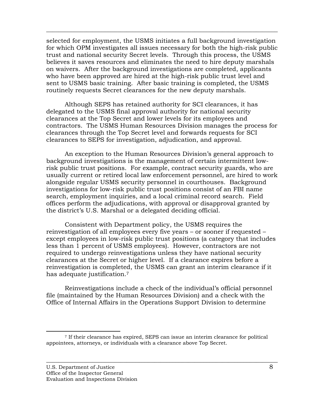selected for employment, the USMS initiates a full background investigation for which OPM investigates all issues necessary for both the high-risk public trust and national security Secret levels. Through this process, the USMS believes it saves resources and eliminates the need to hire deputy marshals on waivers. After the background investigations are completed, applicants who have been approved are hired at the high-risk public trust level and sent to USMS basic training. After basic training is completed, the USMS routinely requests Secret clearances for the new deputy marshals.

 $\overline{\phantom{a}}$  , and the contribution of the contribution of the contribution of the contribution of the contribution of the contribution of the contribution of the contribution of the contribution of the contribution of the

Although SEPS has retained authority for SCI clearances, it has delegated to the USMS final approval authority for national security clearances at the Top Secret and lower levels for its employees and contractors. The USMS Human Resources Division manages the process for clearances through the Top Secret level and forwards requests for SCI clearances to SEPS for investigation, adjudication, and approval.

An exception to the Human Resources Division's general approach to background investigations is the management of certain intermittent lowrisk public trust positions. For example, contract security guards, who are usually current or retired local law enforcement personnel, are hired to work alongside regular USMS security personnel in courthouses. Background investigations for low-risk public trust positions consist of an FBI name search, employment inquiries, and a local criminal record search. Field offices perform the adjudications, with approval or disapproval granted by the district's U.S. Marshal or a delegated deciding official.

Consistent with Department policy, the USMS requires the reinvestigation of all employees every five years – or sooner if requested – except employees in low-risk public trust positions (a category that includes less than 1 percent of USMS employees). However, contractors are not required to undergo reinvestigations unless they have national security clearances at the Secret or higher level. If a clearance expires before a reinvestigation is completed, the USMS can grant an interim clearance if it has adequate justification.7

Reinvestigations include a check of the individual's official personnel file (maintained by the Human Resources Division) and a check with the Office of Internal Affairs in the Operations Support Division to determine

 <sup>7</sup> If their clearance has expired, SEPS can issue an interim clearance for political appointees, attorneys, or individuals with a clearance above Top Secret.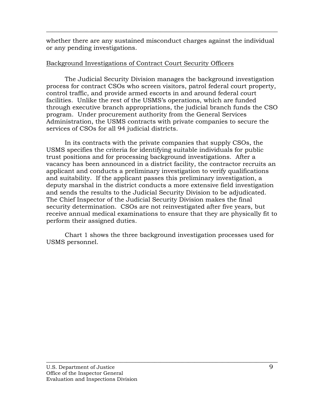whether there are any sustained misconduct charges against the individual or any pending investigations.

 $\overline{\phantom{a}}$  , and the contribution of the contribution of the contribution of the contribution of the contribution of the contribution of the contribution of the contribution of the contribution of the contribution of the

## Background Investigations of Contract Court Security Officers

The Judicial Security Division manages the background investigation process for contract CSOs who screen visitors, patrol federal court property, control traffic, and provide armed escorts in and around federal court facilities. Unlike the rest of the USMS's operations, which are funded through executive branch appropriations, the judicial branch funds the CSO program. Under procurement authority from the General Services Administration, the USMS contracts with private companies to secure the services of CSOs for all 94 judicial districts.

In its contracts with the private companies that supply CSOs, the USMS specifies the criteria for identifying suitable individuals for public trust positions and for processing background investigations. After a vacancy has been announced in a district facility, the contractor recruits an applicant and conducts a preliminary investigation to verify qualifications and suitability. If the applicant passes this preliminary investigation, a deputy marshal in the district conducts a more extensive field investigation and sends the results to the Judicial Security Division to be adjudicated. The Chief Inspector of the Judicial Security Division makes the final security determination. CSOs are not reinvestigated after five years, but receive annual medical examinations to ensure that they are physically fit to perform their assigned duties.

Chart 1 shows the three background investigation processes used for USMS personnel.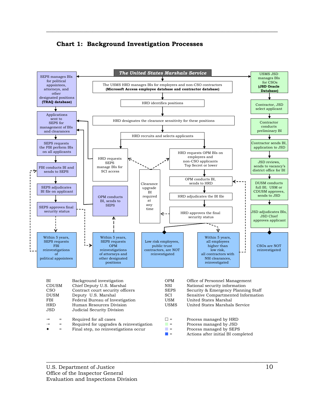

 $\overline{\phantom{a}}$  , and the contribution of the contribution of the contribution of the contribution of the contribution of the contribution of the contribution of the contribution of the contribution of the contribution of the



- = Required for upgrades & reinvestigation  $\blacksquare$  = Process managed by JSD<br>= Final step, no reinvestigations occur
	- Final step, no reinvestigations occur  $\begin{array}{ccc}\n\bullet \\
	\bullet \\
	\bullet\n\end{array}$  Process managed by SEPS
		- Actions after initial BI completed
		-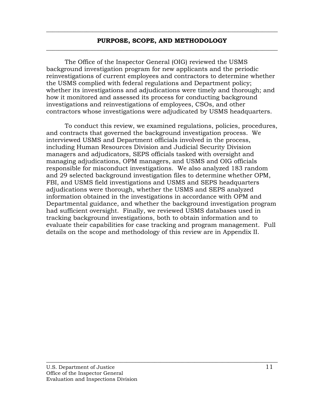#### **PURPOSE, SCOPE, AND METHODOLOGY**   $\overline{\phantom{a}}$  , and the contribution of the contribution of the contribution of the contribution of the contribution of the contribution of the contribution of the contribution of the contribution of the contribution of the

<span id="page-19-0"></span> $\overline{\phantom{a}}$  , and the contribution of the contribution of the contribution of the contribution of the contribution of the contribution of the contribution of the contribution of the contribution of the contribution of the

The Office of the Inspector General (OIG) reviewed the USMS background investigation program for new applicants and the periodic reinvestigations of current employees and contractors to determine whether the USMS complied with federal regulations and Department policy; whether its investigations and adjudications were timely and thorough; and how it monitored and assessed its process for conducting background investigations and reinvestigations of employees, CSOs, and other contractors whose investigations were adjudicated by USMS headquarters.

To conduct this review, we examined regulations, policies, procedures, and contracts that governed the background investigation process. We interviewed USMS and Department officials involved in the process, including Human Resources Division and Judicial Security Division managers and adjudicators, SEPS officials tasked with oversight and managing adjudications, OPM managers, and USMS and OIG officials responsible for misconduct investigations. We also analyzed 183 random and 29 selected background investigation files to determine whether OPM, FBI, and USMS field investigations and USMS and SEPS headquarters adjudications were thorough, whether the USMS and SEPS analyzed information obtained in the investigations in accordance with OPM and Departmental guidance, and whether the background investigation program had sufficient oversight. Finally, we reviewed USMS databases used in tracking background investigations, both to obtain information and to evaluate their capabilities for case tracking and program management. Full details on the scope and methodology of this review are in Appendix II.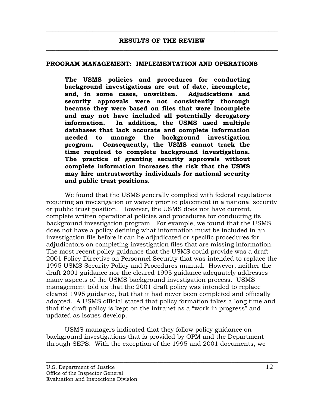<span id="page-20-0"></span> $\overline{\phantom{a}}$  , and the contribution of the contribution of the contribution of the contribution of the contribution of the contribution of the contribution of the contribution of the contribution of the contribution of the

#### **PROGRAM MANAGEMENT: IMPLEMENTATION AND OPERATIONS**

**The USMS policies and procedures for conducting background investigations are out of date, incomplete, and, in some cases, unwritten. Adjudications and security approvals were not consistently thorough because they were based on files that were incomplete and may not have included all potentially derogatory information. In addition, the USMS used multiple databases that lack accurate and complete information needed to manage the background investigation program. Consequently, the USMS cannot track the time required to complete background investigations. The practice of granting security approvals without complete information increases the risk that the USMS may hire untrustworthy individuals for national security and public trust positions.** 

We found that the USMS generally complied with federal regulations requiring an investigation or waiver prior to placement in a national security or public trust position. However, the USMS does not have current, complete written operational policies and procedures for conducting its background investigation program. For example, we found that the USMS does not have a policy defining what information must be included in an investigation file before it can be adjudicated or specific procedures for adjudicators on completing investigation files that are missing information. The most recent policy guidance that the USMS could provide was a draft 2001 Policy Directive on Personnel Security that was intended to replace the 1995 USMS Security Policy and Procedures manual. However, neither the draft 2001 guidance nor the cleared 1995 guidance adequately addresses many aspects of the USMS background investigation process. USMS management told us that the 2001 draft policy was intended to replace cleared 1995 guidance, but that it had never been completed and officially adopted. A USMS official stated that policy formation takes a long time and that the draft policy is kept on the intranet as a "work in progress" and updated as issues develop.

USMS managers indicated that they follow policy guidance on background investigations that is provided by OPM and the Department through SEPS. With the exception of the 1995 and 2001 documents, we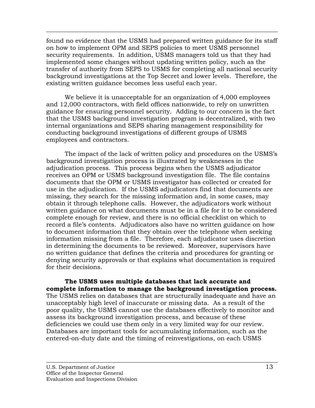found no evidence that the USMS had prepared written guidance for its staff on how to implement OPM and SEPS policies to meet USMS personnel security requirements. In addition, USMS managers told us that they had implemented some changes without updating written policy, such as the transfer of authority from SEPS to USMS for completing all national security background investigations at the Top Secret and lower levels. Therefore, the existing written guidance becomes less useful each year.

 $\overline{\phantom{a}}$  , and the contribution of the contribution of the contribution of the contribution of the contribution of the contribution of the contribution of the contribution of the contribution of the contribution of the

We believe it is unacceptable for an organization of 4,000 employees and 12,000 contractors, with field offices nationwide, to rely on unwritten guidance for ensuring personnel security. Adding to our concern is the fact that the USMS background investigation program is decentralized, with two internal organizations and SEPS sharing management responsibility for conducting background investigations of different groups of USMS employees and contractors.

The impact of the lack of written policy and procedures on the USMS's background investigation process is illustrated by weaknesses in the adjudication process. This process begins when the USMS adjudicator receives an OPM or USMS background investigation file. The file contains documents that the OPM or USMS investigator has collected or created for use in the adjudication. If the USMS adjudicators find that documents are missing, they search for the missing information and, in some cases, may obtain it through telephone calls. However, the adjudicators work without written guidance on what documents must be in a file for it to be considered complete enough for review, and there is no official checklist on which to record a file's contents. Adjudicators also have no written guidance on how to document information that they obtain over the telephone when seeking information missing from a file. Therefore, each adjudicator uses discretion in determining the documents to be reviewed. Moreover, supervisors have no written guidance that defines the criteria and procedures for granting or denying security approvals or that explains what documentation is required for their decisions.

**The USMS uses multiple databases that lack accurate and complete information to manage the background investigation process.**  The USMS relies on databases that are structurally inadequate and have an unacceptably high level of inaccurate or missing data. As a result of the poor quality, the USMS cannot use the databases effectively to monitor and assess its background investigation process, and because of these deficiencies we could use them only in a very limited way for our review. Databases are important tools for accumulating information, such as the entered-on-duty date and the timing of reinvestigations, on each USMS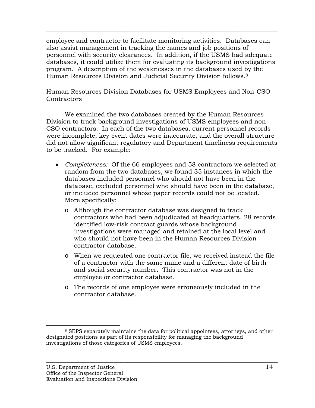employee and contractor to facilitate monitoring activities. Databases can also assist management in tracking the names and job positions of personnel with security clearances. In addition, if the USMS had adequate databases, it could utilize them for evaluating its background investigations program. A description of the weaknesses in the databases used by the Human Resources Division and Judicial Security Division follows.8

 $\overline{\phantom{a}}$  , and the contribution of the contribution of the contribution of the contribution of the contribution of the contribution of the contribution of the contribution of the contribution of the contribution of the

## Human Resources Division Databases for USMS Employees and Non-CSO **Contractors**

We examined the two databases created by the Human Resources Division to track background investigations of USMS employees and non-CSO contractors. In each of the two databases, current personnel records were incomplete, key event dates were inaccurate, and the overall structure did not allow significant regulatory and Department timeliness requirements to be tracked. For example:

- *Completeness:* Of the 66 employees and 58 contractors we selected at random from the two databases, we found 35 instances in which the databases included personnel who should not have been in the database, excluded personnel who should have been in the database, or included personnel whose paper records could not be located. More specifically:
	- o Although the contractor database was designed to track contractors who had been adjudicated at headquarters, 28 records identified low-risk contract guards whose background investigations were managed and retained at the local level and who should not have been in the Human Resources Division contractor database.
	- o When we requested one contractor file, we received instead the file of a contractor with the same name and a different date of birth and social security number. This contractor was not in the employee or contractor database.
	- o The records of one employee were erroneously included in the contractor database.

 <sup>8</sup> SEPS separately maintains the data for political appointees, attorneys, and other designated positions as part of its responsibility for managing the background investigations of those categories of USMS employees.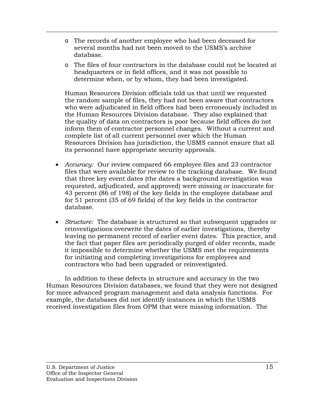o The records of another employee who had been deceased for several months had not been moved to the USMS's archive database.

 $\overline{\phantom{a}}$  , and the contribution of the contribution of the contribution of the contribution of the contribution of the contribution of the contribution of the contribution of the contribution of the contribution of the

o The files of four contractors in the database could not be located at headquarters or in field offices, and it was not possible to determine when, or by whom, they had been investigated.

Human Resources Division officials told us that until we requested the random sample of files, they had not been aware that contractors who were adjudicated in field offices had been erroneously included in the Human Resources Division database. They also explained that the quality of data on contractors is poor because field offices do not inform them of contractor personnel changes. Without a current and complete list of all current personnel over which the Human Resources Division has jurisdiction, the USMS cannot ensure that all its personnel have appropriate security approvals.

- *Accuracy:* Our review compared 66 employee files and 23 contractor files that were available for review to the tracking database. We found that three key event dates (the dates a background investigation was requested, adjudicated, and approved) were missing or inaccurate for 43 percent (86 of 198) of the key fields in the employee database and for 51 percent (35 of 69 fields) of the key fields in the contractor database.
- *Structure:* The database is structured so that subsequent upgrades or reinvestigations overwrite the dates of earlier investigations, thereby leaving no permanent record of earlier event dates. This practice, and the fact that paper files are periodically purged of older records, made it impossible to determine whether the USMS met the requirements for initiating and completing investigations for employees and contractors who had been upgraded or reinvestigated.

In addition to these defects in structure and accuracy in the two Human Resources Division databases, we found that they were not designed for more advanced program management and data analysis functions. For example, the databases did not identify instances in which the USMS received investigation files from OPM that were missing information. The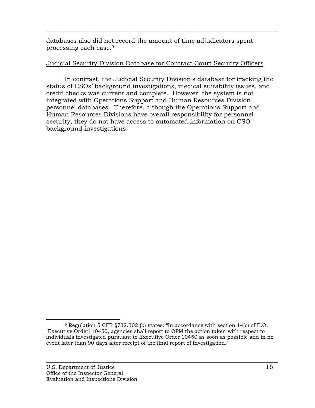databases also did not record the amount of time adjudicators spent processing each case.9

## Judicial Security Division Database for Contract Court Security Officers

 $\overline{\phantom{a}}$  , and the contribution of the contribution of the contribution of the contribution of the contribution of the contribution of the contribution of the contribution of the contribution of the contribution of the

In contrast, the Judicial Security Division's database for tracking the status of CSOs' background investigations, medical suitability issues, and credit checks was current and complete. However, the system is not integrated with Operations Support and Human Resources Division personnel databases. Therefore, although the Operations Support and Human Resources Divisions have overall responsibility for personnel security, they do not have access to automated information on CSO background investigations.

 <sup>9</sup> Regulation 5 CFR §732.302 (b) states: "In accordance with section 14(c) of E.O. [Executive Order] 10450, agencies shall report to OPM the action taken with respect to individuals investigated pursuant to Executive Order 10450 as soon as possible and in no event later than 90 days after receipt of the final report of investigation.<sup>"</sup>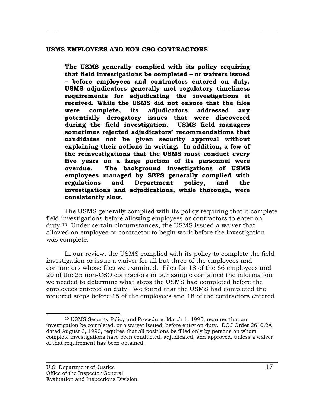#### **USMS EMPLOYEES AND NON-CSO CONTRACTORS**

**The USMS generally complied with its policy requiring that field investigations be completed – or waivers issued – before employees and contractors entered on duty. USMS adjudicators generally met regulatory timeliness requirements for adjudicating the investigations it received. While the USMS did not ensure that the files were complete, its adjudicators addressed any potentially derogatory issues that were discovered during the field investigation. USMS field managers sometimes rejected adjudicators' recommendations that candidates not be given security approval without explaining their actions in writing. In addition, a few of the reinvestigations that the USMS must conduct every five years on a large portion of its personnel were overdue. The background investigations of USMS employees managed by SEPS generally complied with regulations and Department policy, and the investigations and adjudications, while thorough, were consistently slow.** 

<span id="page-25-0"></span> $\overline{\phantom{a}}$  , and the contribution of the contribution of the contribution of the contribution of the contribution of the contribution of the contribution of the contribution of the contribution of the contribution of the

The USMS generally complied with its policy requiring that it complete field investigations before allowing employees or contractors to enter on duty.10 Under certain circumstances, the USMS issued a waiver that allowed an employee or contractor to begin work before the investigation was complete.

In our review, the USMS complied with its policy to complete the field investigation or issue a waiver for all but three of the employees and contractors whose files we examined. Files for 18 of the 66 employees and 20 of the 25 non-CSO contractors in our sample contained the information we needed to determine what steps the USMS had completed before the employees entered on duty. We found that the USMS had completed the required steps before 15 of the employees and 18 of the contractors entered

 <sup>10</sup> USMS Security Policy and Procedure, March 1, 1995, requires that an investigation be completed, or a waiver issued, before entry on duty. DOJ Order 2610.2A dated August 3, 1990, requires that all positions be filled only by persons on whom complete investigations have been conducted, adjudicated, and approved, unless a waiver of that requirement has been obtained.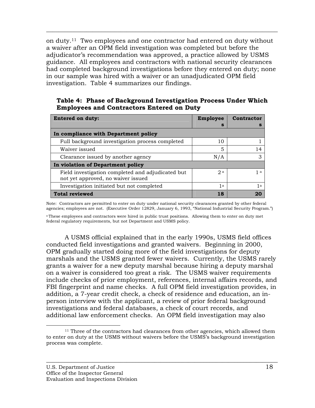on duty.11 Two employees and one contractor had entered on duty without a waiver after an OPM field investigation was completed but before the adjudicator's recommendation was approved, a practice allowed by USMS guidance. All employees and contractors with national security clearances had completed background investigations before they entered on duty; none in our sample was hired with a waiver or an unadjudicated OPM field investigation. Table 4 summarizes our findings.

 $\overline{\phantom{a}}$  , and the contribution of the contribution of the contribution of the contribution of the contribution of the contribution of the contribution of the contribution of the contribution of the contribution of the

#### **Table 4: Phase of Background Investigation Process Under Which Employees and Contractors Entered on Duty**

| <b>Entered on duty:</b>                                                                 | <b>Employee</b> | Contractor |
|-----------------------------------------------------------------------------------------|-----------------|------------|
|                                                                                         | S               | s          |
| In compliance with Department policy                                                    |                 |            |
| Full background investigation process completed                                         | 10              |            |
| Waiver issued                                                                           | 5               | 14         |
| Clearance issued by another agency                                                      | N/A             | З          |
| In violation of Department policy                                                       |                 |            |
| Field investigation completed and adjudicated but<br>not yet approved, no waiver issued | 2a              | 1a         |
| Investigation initiated but not completed                                               | 1a              | 1a         |
| <b>Total reviewed</b>                                                                   | 18              |            |

Note: Contractors are permitted to enter on duty under national security clearances granted by other federal agencies; employees are not. (Executive Order 12829, January 6, 1993, "National Industrial Security Program.")

a These employees and contractors were hired in public trust positions. Allowing them to enter on duty met federal regulatory requirements, but not Department and USMS policy.

A USMS official explained that in the early 1990s, USMS field offices conducted field investigations and granted waivers. Beginning in 2000, OPM gradually started doing more of the field investigations for deputy marshals and the USMS granted fewer waivers. Currently, the USMS rarely grants a waiver for a new deputy marshal because hiring a deputy marshal on a waiver is considered too great a risk. The USMS waiver requirements include checks of prior employment, references, internal affairs records, and FBI fingerprint and name checks. A full OPM field investigation provides, in addition, a 7-year credit check, a check of residence and education, an inperson interview with the applicant, a review of prior federal background investigations and federal databases, a check of court records, and additional law enforcement checks. An OPM field investigation may also

<sup>&</sup>lt;sup>11</sup> Three of the contractors had clearances from other agencies, which allowed them to enter on duty at the USMS without waivers before the USMS's background investigation process was complete.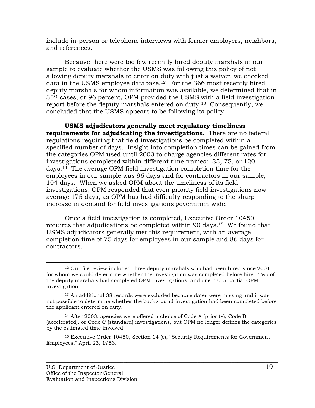include in-person or telephone interviews with former employers, neighbors, and references.

 $\overline{\phantom{a}}$  , and the contribution of the contribution of the contribution of the contribution of the contribution of the contribution of the contribution of the contribution of the contribution of the contribution of the

Because there were too few recently hired deputy marshals in our sample to evaluate whether the USMS was following this policy of not allowing deputy marshals to enter on duty with just a waiver, we checked data in the USMS employee database.12 For the 366 most recently hired deputy marshals for whom information was available, we determined that in 352 cases, or 96 percent, OPM provided the USMS with a field investigation report before the deputy marshals entered on duty.<sup>13</sup> Consequently, we concluded that the USMS appears to be following its policy.

**USMS adjudicators generally meet regulatory timeliness requirements for adjudicating the investigations.** There are no federal regulations requiring that field investigations be completed within a specified number of days. Insight into completion times can be gained from the categories OPM used until 2003 to charge agencies different rates for investigations completed within different time frames: 35, 75, or 120 days.14 The average OPM field investigation completion time for the employees in our sample was 96 days and for contractors in our sample, 104 days. When we asked OPM about the timeliness of its field investigations, OPM responded that even priority field investigations now average 175 days, as OPM has had difficulty responding to the sharp increase in demand for field investigations governmentwide.

Once a field investigation is completed, Executive Order 10450 requires that adjudications be completed within 90 days.15 We found that USMS adjudicators generally met this requirement, with an average completion time of 75 days for employees in our sample and 86 days for contractors.

<sup>&</sup>lt;sup>12</sup> Our file review included three deputy marshals who had been hired since 2001 for whom we could determine whether the investigation was completed before hire. Two of the deputy marshals had completed OPM investigations, and one had a partial OPM investigation.

<sup>13</sup> An additional 38 records were excluded because dates were missing and it was not possible to determine whether the background investigation had been completed before the applicant entered on duty.

<sup>14</sup> After 2003, agencies were offered a choice of Code A (priority), Code B (accelerated), or Code C (standard) investigations, but OPM no longer defines the categories by the estimated time involved.

<sup>15</sup> Executive Order 10450, Section 14 (c), "Security Requirements for Government Employees," April 23, 1953.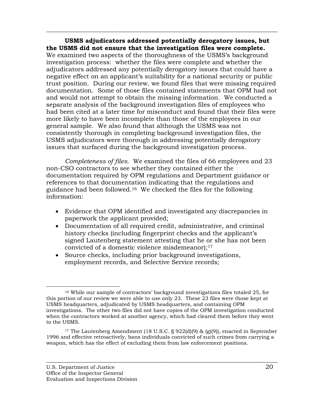**USMS adjudicators addressed potentially derogatory issues, but the USMS did not ensure that the investigation files were complete.**  We examined two aspects of the thoroughness of the USMS's background investigation process: whether the files were complete and whether the adjudicators addressed any potentially derogatory issues that could have a negative effect on an applicant's suitability for a national security or public trust position. During our review, we found files that were missing required documentation. Some of those files contained statements that OPM had not and would not attempt to obtain the missing information. We conducted a separate analysis of the background investigation files of employees who had been cited at a later time for misconduct and found that their files were more likely to have been incomplete than those of the employees in our general sample. We also found that although the USMS was not consistently thorough in completing background investigation files, the USMS adjudicators were thorough in addressing potentially derogatory issues that surfaced during the background investigation process.

 $\overline{\phantom{a}}$  , and the contribution of the contribution of the contribution of the contribution of the contribution of the contribution of the contribution of the contribution of the contribution of the contribution of the

*Completeness of files*. We examined the files of 66 employees and 23 non-CSO contractors to see whether they contained either the documentation required by OPM regulations and Department guidance or references to that documentation indicating that the regulations and guidance had been followed.16 We checked the files for the following information:

- Evidence that OPM identified and investigated any discrepancies in paperwork the applicant provided;
- Documentation of all required credit, administrative, and criminal history checks (including fingerprint checks and the applicant's signed Lautenberg statement attesting that he or she has not been convicted of a domestic violence misdemeanor);<sup>17</sup>
- Source checks, including prior background investigations, employment records, and Selective Service records;

 <sup>16</sup> While our sample of contractors' background investigations files totaled 25, for this portion of our review we were able to use only 23. These 23 files were those kept at USMS headquarters, adjudicated by USMS headquarters, and containing OPM investigations. The other two files did not have copies of the OPM investigation conducted when the contractors worked at another agency, which had cleared them before they went to the USMS.

<sup>&</sup>lt;sup>17</sup> The Lautenberg Amendment (18 U.S.C. § 922(d)(9) & (g)(9)), enacted in September 1996 and effective retroactively, bans individuals convicted of such crimes from carrying a weapon, which has the effect of excluding them from law enforcement positions.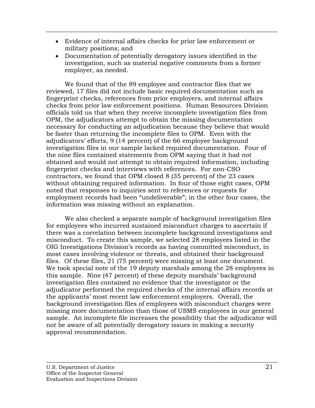• Evidence of internal affairs checks for prior law enforcement or military positions; and

 $\overline{\phantom{a}}$  , and the contribution of the contribution of the contribution of the contribution of the contribution of the contribution of the contribution of the contribution of the contribution of the contribution of the

• Documentation of potentially derogatory issues identified in the investigation, such as material negative comments from a former employer, as needed.

We found that of the 89 employee and contractor files that we reviewed, 17 files did not include basic required documentation such as fingerprint checks, references from prior employers, and internal affairs checks from prior law enforcement positions. Human Resources Division officials told us that when they receive incomplete investigation files from OPM, the adjudicators attempt to obtain the missing documentation necessary for conducting an adjudication because they believe that would be faster than returning the incomplete files to OPM. Even with the adjudicators' efforts, 9 (14 percent) of the 66 employee background investigation files in our sample lacked required documentation. Four of the nine files contained statements from OPM saying that it had not obtained and would not attempt to obtain required information, including fingerprint checks and interviews with references. For non-CSO contractors, we found that OPM closed 8 (35 percent) of the 23 cases without obtaining required information. In four of those eight cases, OPM noted that responses to inquiries sent to references or requests for employment records had been "undeliverable"; in the other four cases, the information was missing without an explanation.

We also checked a separate sample of background investigation files for employees who incurred sustained misconduct charges to ascertain if there was a correlation between incomplete background investigations and misconduct. To create this sample, we selected 28 employees listed in the OIG Investigations Division's records as having committed misconduct, in most cases involving violence or threats, and obtained their background files. Of these files, 21 (75 percent) were missing at least one document. We took special note of the 19 deputy marshals among the 28 employees in this sample. Nine (47 percent) of these deputy marshals' background investigation files contained no evidence that the investigator or the adjudicator performed the required checks of the internal affairs records at the applicants' most recent law enforcement employers. Overall, the background investigation files of employees with misconduct charges were missing more documentation than those of USMS employees in our general sample. An incomplete file increases the possibility that the adjudicator will not be aware of all potentially derogatory issues in making a security approval recommendation.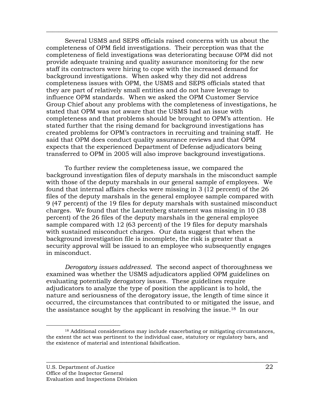Several USMS and SEPS officials raised concerns with us about the completeness of OPM field investigations. Their perception was that the completeness of field investigations was deteriorating because OPM did not provide adequate training and quality assurance monitoring for the new staff its contractors were hiring to cope with the increased demand for background investigations. When asked why they did not address completeness issues with OPM, the USMS and SEPS officials stated that they are part of relatively small entities and do not have leverage to influence OPM standards. When we asked the OPM Customer Service Group Chief about any problems with the completeness of investigations, he stated that OPM was not aware that the USMS had an issue with completeness and that problems should be brought to OPM's attention. He stated further that the rising demand for background investigations has created problems for OPM's contractors in recruiting and training staff. He said that OPM does conduct quality assurance reviews and that OPM expects that the experienced Department of Defense adjudicators being transferred to OPM in 2005 will also improve background investigations.

 $\overline{\phantom{a}}$  , and the contribution of the contribution of the contribution of the contribution of the contribution of the contribution of the contribution of the contribution of the contribution of the contribution of the

To further review the completeness issue, we compared the background investigation files of deputy marshals in the misconduct sample with those of the deputy marshals in our general sample of employees. We found that internal affairs checks were missing in 3 (12 percent) of the 26 files of the deputy marshals in the general employee sample compared with 9 (47 percent) of the 19 files for deputy marshals with sustained misconduct charges. We found that the Lautenberg statement was missing in 10 (38 percent) of the 26 files of the deputy marshals in the general employee sample compared with 12 (63 percent) of the 19 files for deputy marshals with sustained misconduct charges. Our data suggest that when the background investigation file is incomplete, the risk is greater that a security approval will be issued to an employee who subsequently engages in misconduct.

*Derogatory issues addressed.* The second aspect of thoroughness we examined was whether the USMS adjudicators applied OPM guidelines on evaluating potentially derogatory issues. These guidelines require adjudicators to analyze the type of position the applicant is to hold, the nature and seriousness of the derogatory issue, the length of time since it occurred, the circumstances that contributed to or mitigated the issue, and the assistance sought by the applicant in resolving the issue.18 In our

 <sup>18</sup> Additional considerations may include exacerbating or mitigating circumstances, the extent the act was pertinent to the individual case, statutory or regulatory bars, and the existence of material and intentional falsification.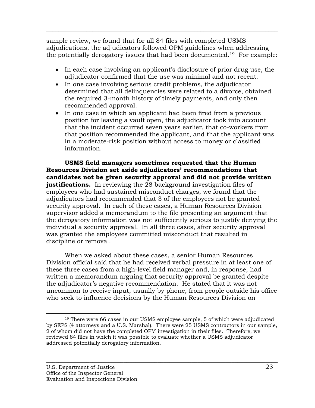sample review, we found that for all 84 files with completed USMS adjudications, the adjudicators followed OPM guidelines when addressing the potentially derogatory issues that had been documented.19 For example:

 $\overline{\phantom{a}}$  , and the contribution of the contribution of the contribution of the contribution of the contribution of the contribution of the contribution of the contribution of the contribution of the contribution of the

- In each case involving an applicant's disclosure of prior drug use, the adjudicator confirmed that the use was minimal and not recent.
- In one case involving serious credit problems, the adjudicator determined that all delinquencies were related to a divorce, obtained the required 3-month history of timely payments, and only then recommended approval.
- In one case in which an applicant had been fired from a previous position for leaving a vault open, the adjudicator took into account that the incident occurred seven years earlier, that co-workers from that position recommended the applicant, and that the applicant was in a moderate-risk position without access to money or classified information.

**USMS field managers sometimes requested that the Human Resources Division set aside adjudicators' recommendations that candidates not be given security approval and did not provide written justifications.** In reviewing the 28 background investigation files of employees who had sustained misconduct charges, we found that the adjudicators had recommended that 3 of the employees not be granted security approval. In each of these cases, a Human Resources Division supervisor added a memorandum to the file presenting an argument that the derogatory information was not sufficiently serious to justify denying the individual a security approval. In all three cases, after security approval was granted the employees committed misconduct that resulted in discipline or removal.

When we asked about these cases, a senior Human Resources Division official said that he had received verbal pressure in at least one of these three cases from a high-level field manager and, in response, had written a memorandum arguing that security approval be granted despite the adjudicator's negative recommendation. He stated that it was not uncommon to receive input, usually by phone, from people outside his office who seek to influence decisions by the Human Resources Division on

 <sup>19</sup> There were 66 cases in our USMS employee sample, 5 of which were adjudicated by SEPS (4 attorneys and a U.S. Marshal). There were 25 USMS contractors in our sample, 2 of whom did not have the completed OPM investigation in their files. Therefore, we reviewed 84 files in which it was possible to evaluate whether a USMS adjudicator addressed potentially derogatory information.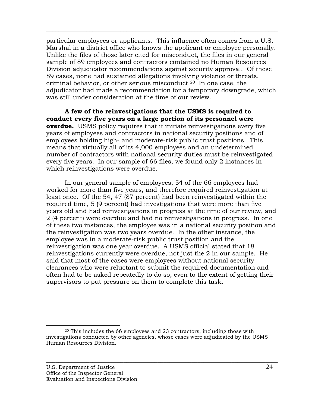particular employees or applicants. This influence often comes from a U.S. Marshal in a district office who knows the applicant or employee personally. Unlike the files of those later cited for misconduct, the files in our general sample of 89 employees and contractors contained no Human Resources Division adjudicator recommendations against security approval. Of these 89 cases, none had sustained allegations involving violence or threats, criminal behavior, or other serious misconduct.20 In one case, the adjudicator had made a recommendation for a temporary downgrade, which was still under consideration at the time of our review.

 $\overline{\phantom{a}}$  , and the contribution of the contribution of the contribution of the contribution of the contribution of the contribution of the contribution of the contribution of the contribution of the contribution of the

**A few of the reinvestigations that the USMS is required to conduct every five years on a large portion of its personnel were overdue.** USMS policy requires that it initiate reinvestigations every five years of employees and contractors in national security positions and of employees holding high- and moderate-risk public trust positions. This means that virtually all of its 4,000 employees and an undetermined number of contractors with national security duties must be reinvestigated every five years. In our sample of 66 files, we found only 2 instances in which reinvestigations were overdue.

In our general sample of employees, 54 of the 66 employees had worked for more than five years, and therefore required reinvestigation at least once. Of the 54, 47 (87 percent) had been reinvestigated within the required time, 5 (9 percent) had investigations that were more than five years old and had reinvestigations in progress at the time of our review, and 2 (4 percent) were overdue and had no reinvestigations in progress. In one of these two instances, the employee was in a national security position and the reinvestigation was two years overdue. In the other instance, the employee was in a moderate-risk public trust position and the reinvestigation was one year overdue. A USMS official stated that 18 reinvestigations currently were overdue, not just the 2 in our sample. He said that most of the cases were employees without national security clearances who were reluctant to submit the required documentation and often had to be asked repeatedly to do so, even to the extent of getting their supervisors to put pressure on them to complete this task.

 <sup>20</sup> This includes the 66 employees and 23 contractors, including those with investigations conducted by other agencies, whose cases were adjudicated by the USMS Human Resources Division.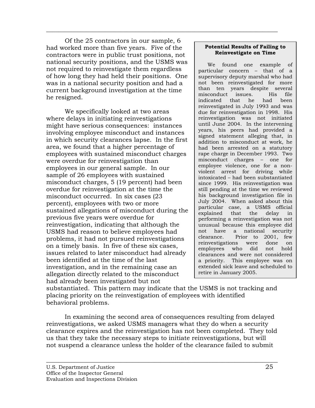Of the 25 contractors in our sample, 6 had worked more than five years. Five of the contractors were in public trust positions, not national security positions, and the USMS was not required to reinvestigate them regardless of how long they had held their positions. One was in a national security position and had a current background investigation at the time he resigned.

 $\overline{\phantom{a}}$  , and the contribution of the contribution of the contribution of the contribution of the contribution of the contribution of the contribution of the contribution of the contribution of the contribution of the

We specifically looked at two areas where delays in initiating reinvestigations might have serious consequences: instances involving employee misconduct and instances in which security clearances lapse. In the first area, we found that a higher percentage of employees with sustained misconduct charges were overdue for reinvestigation than employees in our general sample. In our sample of 26 employees with sustained misconduct charges, 5 (19 percent) had been overdue for reinvestigation at the time the misconduct occurred. In six cases (23 percent), employees with two or more sustained allegations of misconduct during the previous five years were overdue for reinvestigation, indicating that although the USMS had reason to believe employees had problems, it had not pursued reinvestigations on a timely basis. In five of these six cases, issues related to later misconduct had already been identified at the time of the last investigation, and in the remaining case an allegation directly related to the misconduct had already been investigated but not

#### **Potential Results of Failing to Reinvestigate on Time**

We found one example of particular concern – that of a supervisory deputy marshal who had not been reinvestigated for more than ten years despite several misconduct issues. His file indicated that he had been reinvestigated in July 1993 and was due for reinvestigation in 1998. His reinvestigation was not initiated until June 2004. In the intervening years, his peers had provided a signed statement alleging that, in addition to misconduct at work, he had been arrested on a statutory rape charge in December 1993. Two misconduct charges – one for employee violence, one for a nonviolent arrest for driving while intoxicated – had been substantiated since 1999. His reinvestigation was still pending at the time we reviewed his background investigation file in July 2004. When asked about this particular case, a USMS official explained that the delay in performing a reinvestigation was not unusual because this employee did not have a national security clearance. Prior to 2001, few reinvestigations were done on employees who did not hold clearances and were not considered a priority. This employee was on extended sick leave and scheduled to retire in January 2005.

substantiated. This pattern may indicate that the USMS is not tracking and placing priority on the reinvestigation of employees with identified behavioral problems.

In examining the second area of consequences resulting from delayed reinvestigations, we asked USMS managers what they do when a security clearance expires and the reinvestigation has not been completed. They told us that they take the necessary steps to initiate reinvestigations, but will not suspend a clearance unless the holder of the clearance failed to submit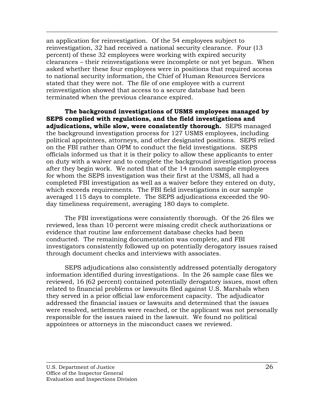an application for reinvestigation. Of the 54 employees subject to reinvestigation, 32 had received a national security clearance. Four (13 percent) of these 32 employees were working with expired security clearances – their reinvestigations were incomplete or not yet begun. When asked whether these four employees were in positions that required access to national security information, the Chief of Human Resources Services stated that they were not. The file of one employee with a current reinvestigation showed that access to a secure database had been terminated when the previous clearance expired.

 $\overline{\phantom{a}}$  , and the contribution of the contribution of the contribution of the contribution of the contribution of the contribution of the contribution of the contribution of the contribution of the contribution of the

**The background investigations of USMS employees managed by SEPS complied with regulations, and the field investigations and adjudications, while slow, were consistently thorough.** SEPS managed the background investigation process for 127 USMS employees, including political appointees, attorneys, and other designated positions. SEPS relied on the FBI rather than OPM to conduct the field investigations. SEPS officials informed us that it is their policy to allow these applicants to enter on duty with a waiver and to complete the background investigation process after they begin work. We noted that of the 14 random sample employees for whom the SEPS investigation was their first at the USMS, all had a completed FBI investigation as well as a waiver before they entered on duty, which exceeds requirements. The FBI field investigations in our sample averaged 115 days to complete. The SEPS adjudications exceeded the 90 day timeliness requirement, averaging 180 days to complete.

The FBI investigations were consistently thorough. Of the 26 files we reviewed, less than 10 percent were missing credit check authorizations or evidence that routine law enforcement database checks had been conducted. The remaining documentation was complete, and FBI investigators consistently followed up on potentially derogatory issues raised through document checks and interviews with associates.

SEPS adjudications also consistently addressed potentially derogatory information identified during investigations. In the 26 sample case files we reviewed, 16 (62 percent) contained potentially derogatory issues, most often related to financial problems or lawsuits filed against U.S. Marshals when they served in a prior official law enforcement capacity. The adjudicator addressed the financial issues or lawsuits and determined that the issues were resolved, settlements were reached, or the applicant was not personally responsible for the issues raised in the lawsuit. We found no political appointees or attorneys in the misconduct cases we reviewed.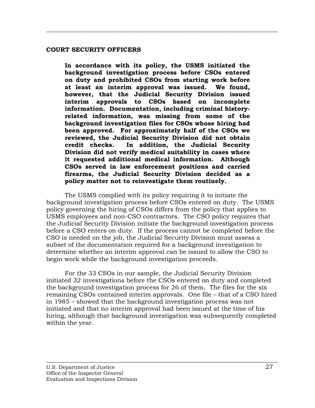#### **COURT SECURITY OFFICERS**

**In accordance with its policy, the USMS initiated the background investigation process before CSOs entered on duty and prohibited CSOs from starting work before at least an interim approval was issued. We found, however, that the Judicial Security Division issued interim approvals to CSOs based on incomplete information. Documentation, including criminal historyrelated information, was missing from some of the background investigation files for CSOs whose hiring had been approved. For approximately half of the CSOs we reviewed, the Judicial Security Division did not obtain credit checks. In addition, the Judicial Security Division did not verify medical suitability in cases where it requested additional medical information. Although CSOs served in law enforcement positions and carried firearms, the Judicial Security Division decided as a policy matter not to reinvestigate them routinely.** 

<span id="page-35-0"></span> $\overline{\phantom{a}}$  , and the contribution of the contribution of the contribution of the contribution of the contribution of the contribution of the contribution of the contribution of the contribution of the contribution of the

The USMS complied with its policy requiring it to initiate the background investigation process before CSOs entered on duty. The USMS policy governing the hiring of CSOs differs from the policy that applies to USMS employees and non-CSO contractors. The CSO policy requires that the Judicial Security Division initiate the background investigation process before a CSO enters on duty. If the process cannot be completed before the CSO is needed on the job, the Judicial Security Division must assess a subset of the documentation required for a background investigation to determine whether an interim approval can be issued to allow the CSO to begin work while the background investigation proceeds.

For the 33 CSOs in our sample, the Judicial Security Division initiated 32 investigations before the CSOs entered on duty and completed the background investigation process for 26 of them. The files for the six remaining CSOs contained interim approvals. One file – that of a CSO hired in 1985 – showed that the background investigation process was not initiated and that no interim approval had been issued at the time of his hiring, although that background investigation was subsequently completed within the year.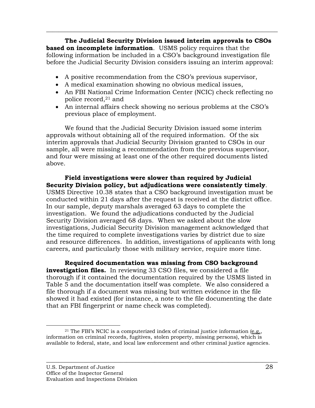**The Judicial Security Division issued interim approvals to CSOs based on incomplete information**. USMS policy requires that the following information be included in a CSO's background investigation file before the Judicial Security Division considers issuing an interim approval:

 $\overline{\phantom{a}}$  , and the contribution of the contribution of the contribution of the contribution of the contribution of the contribution of the contribution of the contribution of the contribution of the contribution of the

- A positive recommendation from the CSO's previous supervisor,
- A medical examination showing no obvious medical issues,
- An FBI National Crime Information Center (NCIC) check reflecting no police record,21 and
- An internal affairs check showing no serious problems at the CSO's previous place of employment.

We found that the Judicial Security Division issued some interim approvals without obtaining all of the required information. Of the six interim approvals that Judicial Security Division granted to CSOs in our sample, all were missing a recommendation from the previous supervisor, and four were missing at least one of the other required documents listed above.

**Field investigations were slower than required by Judicial Security Division policy, but adjudications were consistently timely**. USMS Directive 10.38 states that a CSO background investigation must be conducted within 21 days after the request is received at the district office. In our sample, deputy marshals averaged 63 days to complete the investigation. We found the adjudications conducted by the Judicial Security Division averaged 68 days. When we asked about the slow investigations, Judicial Security Division management acknowledged that the time required to complete investigations varies by district due to size and resource differences. In addition, investigations of applicants with long careers, and particularly those with military service, require more time.

**Required documentation was missing from CSO background investigation files.** In reviewing 33 CSO files, we considered a file thorough if it contained the documentation required by the USMS listed in Table 5 and the documentation itself was complete. We also considered a file thorough if a document was missing but written evidence in the file showed it had existed (for instance, a note to the file documenting the date that an FBI fingerprint or name check was completed).

<sup>&</sup>lt;sup>21</sup> The FBI's NCIC is a computerized index of criminal justice information (e.g., information on criminal records, fugitives, stolen property, missing persons), which is available to federal, state, and local law enforcement and other criminal justice agencies.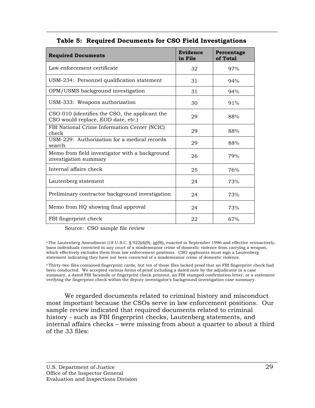| <b>Required Documents</b>                                                            | Evidence<br>in File | Percentage<br>of Total |
|--------------------------------------------------------------------------------------|---------------------|------------------------|
| Law enforcement certificate                                                          | 32                  | 97%                    |
| USM-234: Personnel qualification statement                                           | 31                  | 94%                    |
| OPM/USMS background investigation                                                    | 31                  | 94%                    |
| USM-333: Weapons authorization                                                       | 30                  | 91%                    |
| CSO-010 (identifies the CSO, the applicant the<br>CSO would replace, EOD date, etc.) | 29                  | 88%                    |
| FBI National Crime Information Center (NCIC)<br>check                                | 29                  | 88%                    |
| USM-229: Authorization for a medical records<br>search                               | 29                  | 88%                    |
| Memo from field investigator with a background<br>investigation summary              | 26                  | 79%                    |
| Internal affairs check                                                               | 25                  | 76%                    |
| Lautenberg statement                                                                 | 24                  | 73%                    |
| Preliminary contractor background investigation                                      | 24                  | 73%                    |
| Memo from HQ showing final approval                                                  | 24                  | 73%                    |
| FBI fingerprint check                                                                | 22                  | 67%                    |

## **Table 5: Required Documents for CSO Field Investigations**

 $\overline{\phantom{a}}$  , and the contribution of the contribution of the contribution of the contribution of the contribution of the contribution of the contribution of the contribution of the contribution of the contribution of the

Source: CSO sample file review

a The Lautenberg Amendment (18 U.S.C. § 922(d)(9), (g)(9)), enacted in September 1996 and effective retroactively, bans individuals convicted in any court of a misdemeanor crime of domestic violence from carrying a weapon, which effectively excludes them from law enforcement positions. CSO applicants must sign a Lautenberg statement indicating they have not been convicted of a misdemeanor crime of domestic violence.

b Thirty-two files contained fingerprint cards, but ten of those files lacked proof that an FBI fingerprint check had been conducted. We accepted various forms of proof including a dated note by the adjudicator in a case summary, a dated FBI facsimile or fingerprint check printout, an FBI stamped confirmation letter, or a statement verifying the fingerprint check within the deputy investigator's background investigation case summary.

We regarded documents related to criminal history and misconduct most important because the CSOs serve in law enforcement positions. Our sample review indicated that required documents related to criminal history - such as FBI fingerprint checks, Lautenberg statements, and internal affairs checks – were missing from about a quarter to about a third of the 33 files: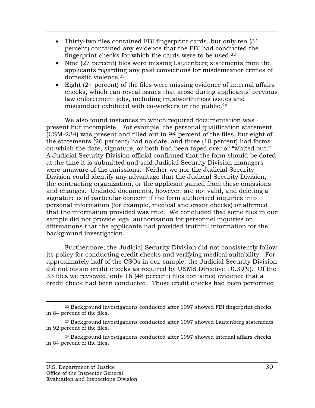• Thirty-two files contained FBI fingerprint cards, but only ten (31) percent) contained any evidence that the FBI had conducted the fingerprint checks for which the cards were to be used.22

 $\overline{\phantom{a}}$  , and the contribution of the contribution of the contribution of the contribution of the contribution of the contribution of the contribution of the contribution of the contribution of the contribution of the

- Nine (27 percent) files were missing Lautenberg statements from the applicants regarding any past convictions for misdemeanor crimes of domestic violence.23
- Eight (24 percent) of the files were missing evidence of internal affairs checks, which can reveal issues that arose during applicants' previous law enforcement jobs, including trustworthiness issues and misconduct exhibited with co-workers or the public.24

We also found instances in which required documentation was present but incomplete. For example, the personal qualification statement (USM-234) was present and filled out in 94 percent of the files, but eight of the statements (26 percent) had no date, and three (10 percent) had forms on which the date, signature, or both had been taped over or "whited out." A Judicial Security Division official confirmed that the form should be dated at the time it is submitted and said Judicial Security Division managers were unaware of the omissions. Neither we nor the Judicial Security Division could identify any advantage that the Judicial Security Division, the contracting organization, or the applicant gained from these omissions and changes. Undated documents, however, are not valid, and deleting a signature is of particular concern if the form authorized inquiries into personal information (for example, medical and credit checks) or affirmed that the information provided was true. We concluded that some files in our sample did not provide legal authorization for personnel inquiries or affirmations that the applicants had provided truthful information for the background investigation.

Furthermore, the Judicial Security Division did not consistently follow its policy for conducting credit checks and verifying medical suitability. For approximately half of the CSOs in our sample, the Judicial Security Division did not obtain credit checks as required by USMS Directive 10.39(9). Of the 33 files we reviewed, only 16 (48 percent) files contained evidence that a credit check had been conducted. Those credit checks had been performed

 <sup>22</sup> Background investigations conducted after 1997 showed FBI fingerprint checks in 84 percent of the files.

 $23$  Background investigations conducted after 1997 showed Lautenberg statements in 92 percent of the files.

<sup>24</sup> Background investigations conducted after 1997 showed internal affairs checks in 84 percent of the files.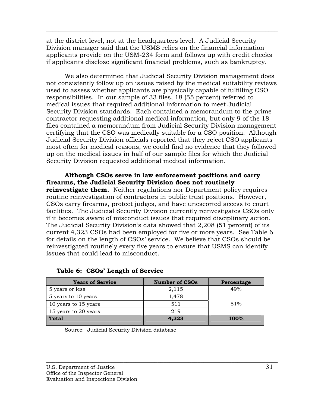at the district level, not at the headquarters level. A Judicial Security Division manager said that the USMS relies on the financial information applicants provide on the USM-234 form and follows up with credit checks if applicants disclose significant financial problems, such as bankruptcy.

 $\overline{\phantom{a}}$  , and the contribution of the contribution of the contribution of the contribution of the contribution of the contribution of the contribution of the contribution of the contribution of the contribution of the

We also determined that Judicial Security Division management does not consistently follow up on issues raised by the medical suitability reviews used to assess whether applicants are physically capable of fulfilling CSO responsibilities. In our sample of 33 files, 18 (55 percent) referred to medical issues that required additional information to meet Judicial Security Division standards. Each contained a memorandum to the prime contractor requesting additional medical information, but only 9 of the 18 files contained a memorandum from Judicial Security Division management certifying that the CSO was medically suitable for a CSO position. Although Judicial Security Division officials reported that they reject CSO applicants most often for medical reasons, we could find no evidence that they followed up on the medical issues in half of our sample files for which the Judicial Security Division requested additional medical information.

**Although CSOs serve in law enforcement positions and carry firearms, the Judicial Security Division does not routinely reinvestigate them.** Neither regulations nor Department policy requires routine reinvestigation of contractors in public trust positions. However, CSOs carry firearms, protect judges, and have unescorted access to court facilities. The Judicial Security Division currently reinvestigates CSOs only if it becomes aware of misconduct issues that required disciplinary action. The Judicial Security Division's data showed that 2,208 (51 percent) of its current 4,323 CSOs had been employed for five or more years. See Table 6 for details on the length of CSOs' service. We believe that CSOs should be reinvestigated routinely every five years to ensure that USMS can identify issues that could lead to misconduct.

| <b>Years of Service</b> | <b>Number of CSOs</b> | Percentage  |
|-------------------------|-----------------------|-------------|
| 5 years or less         | 2,115                 | 49%         |
| 5 years to 10 years     | 1,478                 |             |
| 10 years to 15 years    | 511                   | 51%         |
| 15 years to 20 years    | 219                   |             |
| <b>Total</b>            | 4,323                 | <b>100%</b> |

 $\overline{\phantom{a}}$  , and the contribution of the contribution of the contribution of the contribution of the contribution of the contribution of the contribution of the contribution of the contribution of the contribution of the

## **Table 6: CSOs' Length of Service**

Source: Judicial Security Division database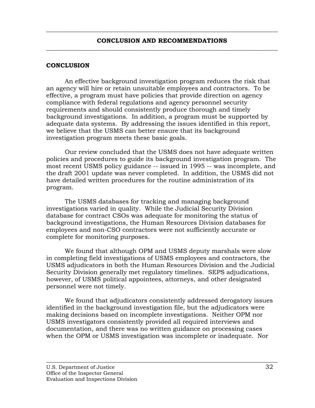<span id="page-40-0"></span> $\overline{\phantom{a}}$  , and the contribution of the contribution of the contribution of the contribution of the contribution of the contribution of the contribution of the contribution of the contribution of the contribution of the

#### **CONCLUSION**

An effective background investigation program reduces the risk that an agency will hire or retain unsuitable employees and contractors. To be effective, a program must have policies that provide direction on agency compliance with federal regulations and agency personnel security requirements and should consistently produce thorough and timely background investigations. In addition, a program must be supported by adequate data systems. By addressing the issues identified in this report, we believe that the USMS can better ensure that its background investigation program meets these basic goals.

Our review concluded that the USMS does not have adequate written policies and procedures to guide its background investigation program. The most recent USMS policy guidance -- issued in 1995 -- was incomplete, and the draft 2001 update was never completed. In addition, the USMS did not have detailed written procedures for the routine administration of its program.

The USMS databases for tracking and managing background investigations varied in quality. While the Judicial Security Division database for contract CSOs was adequate for monitoring the status of background investigations, the Human Resources Division databases for employees and non-CSO contractors were not sufficiently accurate or complete for monitoring purposes.

We found that although OPM and USMS deputy marshals were slow in completing field investigations of USMS employees and contractors, the USMS adjudicators in both the Human Resources Division and the Judicial Security Division generally met regulatory timelines. SEPS adjudications, however, of USMS political appointees, attorneys, and other designated personnel were not timely.

We found that adjudicators consistently addressed derogatory issues identified in the background investigation file, but the adjudicators were making decisions based on incomplete investigations. Neither OPM nor USMS investigators consistently provided all required interviews and documentation, and there was no written guidance on processing cases when the OPM or USMS investigation was incomplete or inadequate. Nor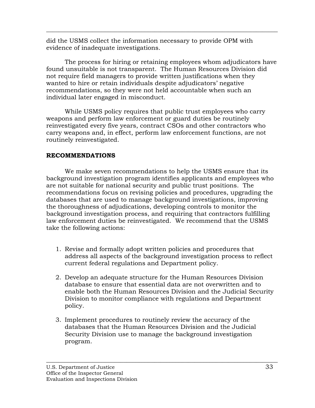did the USMS collect the information necessary to provide OPM with evidence of inadequate investigations.

The process for hiring or retaining employees whom adjudicators have found unsuitable is not transparent. The Human Resources Division did not require field managers to provide written justifications when they wanted to hire or retain individuals despite adjudicators' negative recommendations, so they were not held accountable when such an individual later engaged in misconduct.

<span id="page-41-0"></span> $\overline{\phantom{a}}$  , and the contribution of the contribution of the contribution of the contribution of the contribution of the contribution of the contribution of the contribution of the contribution of the contribution of the

While USMS policy requires that public trust employees who carry weapons and perform law enforcement or guard duties be routinely reinvestigated every five years, contract CSOs and other contractors who carry weapons and, in effect, perform law enforcement functions, are not routinely reinvestigated.

## **RECOMMENDATIONS**

We make seven recommendations to help the USMS ensure that its background investigation program identifies applicants and employees who are not suitable for national security and public trust positions. The recommendations focus on revising policies and procedures, upgrading the databases that are used to manage background investigations, improving the thoroughness of adjudications, developing controls to monitor the background investigation process, and requiring that contractors fulfilling law enforcement duties be reinvestigated. We recommend that the USMS take the following actions:

- 1. Revise and formally adopt written policies and procedures that address all aspects of the background investigation process to reflect current federal regulations and Department policy.
- 2. Develop an adequate structure for the Human Resources Division database to ensure that essential data are not overwritten and to enable both the Human Resources Division and the Judicial Security Division to monitor compliance with regulations and Department policy.
- 3. Implement procedures to routinely review the accuracy of the databases that the Human Resources Division and the Judicial Security Division use to manage the background investigation program.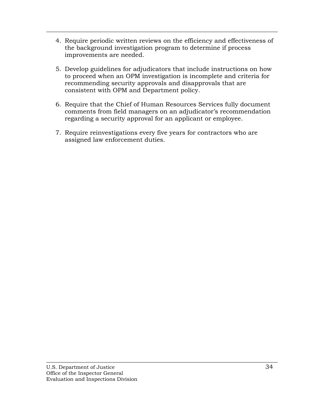4. Require periodic written reviews on the efficiency and effectiveness of the background investigation program to determine if process improvements are needed.

 $\overline{\phantom{a}}$  , and the contribution of the contribution of the contribution of the contribution of the contribution of the contribution of the contribution of the contribution of the contribution of the contribution of the

- 5. Develop guidelines for adjudicators that include instructions on how to proceed when an OPM investigation is incomplete and criteria for recommending security approvals and disapprovals that are consistent with OPM and Department policy.
- 6. Require that the Chief of Human Resources Services fully document comments from field managers on an adjudicator's recommendation regarding a security approval for an applicant or employee.

 $\overline{\phantom{a}}$  , and the contribution of the contribution of the contribution of the contribution of the contribution of the contribution of the contribution of the contribution of the contribution of the contribution of the

7. Require reinvestigations every five years for contractors who are assigned law enforcement duties.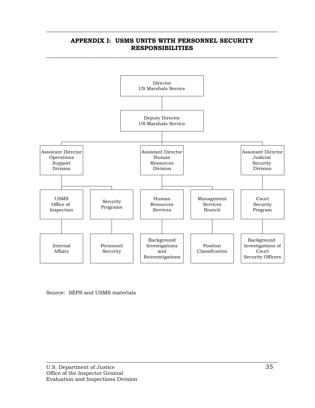

### **APPENDIX I: USMS UNITS WITH PERSONNEL SECURITY RESPONSIBILITIES**   $\overline{\phantom{a}}$  , and the contribution of the contribution of the contribution of the contribution of the contribution of the contribution of the contribution of the contribution of the contribution of the contribution of the

<span id="page-43-0"></span> $\overline{\phantom{a}}$  , and the contribution of the contribution of the contribution of the contribution of the contribution of the contribution of the contribution of the contribution of the contribution of the contribution of the

Source: SEPS and USMS materials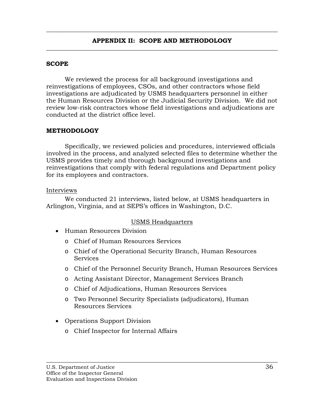<span id="page-44-0"></span> $\overline{\phantom{a}}$  , and the contribution of the contribution of the contribution of the contribution of the contribution of the contribution of the contribution of the contribution of the contribution of the contribution of the

## **SCOPE**

We reviewed the process for all background investigations and reinvestigations of employees, CSOs, and other contractors whose field investigations are adjudicated by USMS headquarters personnel in either the Human Resources Division or the Judicial Security Division. We did not review low-risk contractors whose field investigations and adjudications are conducted at the district office level.

## **METHODOLOGY**

Specifically, we reviewed policies and procedures, interviewed officials involved in the process, and analyzed selected files to determine whether the USMS provides timely and thorough background investigations and reinvestigations that comply with federal regulations and Department policy for its employees and contractors.

#### Interviews

We conducted 21 interviews, listed below, at USMS headquarters in Arlington, Virginia, and at SEPS's offices in Washington, D.C.

## USMS Headquarters

- Human Resources Division
	- o Chief of Human Resources Services
	- o Chief of the Operational Security Branch, Human Resources Services
	- o Chief of the Personnel Security Branch, Human Resources Services
	- o Acting Assistant Director, Management Services Branch
	- o Chief of Adjudications, Human Resources Services
	- o Two Personnel Security Specialists (adjudicators), Human Resources Services

- Operations Support Division
	- o Chief Inspector for Internal Affairs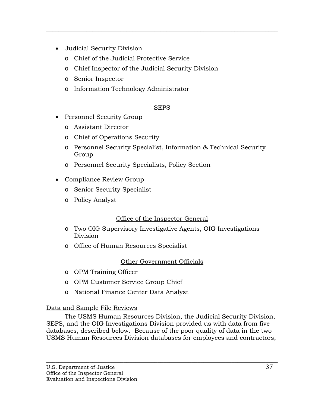- Judicial Security Division
	- o Chief of the Judicial Protective Service
	- o Chief Inspector of the Judicial Security Division
	- o Senior Inspector
	- o Information Technology Administrator

## SEPS

 $\overline{\phantom{a}}$  , and the contribution of the contribution of the contribution of the contribution of the contribution of the contribution of the contribution of the contribution of the contribution of the contribution of the

- Personnel Security Group
	- o Assistant Director
	- o Chief of Operations Security
	- o Personnel Security Specialist, Information & Technical Security Group
	- o Personnel Security Specialists, Policy Section
- Compliance Review Group
	- o Senior Security Specialist
	- o Policy Analyst

## Office of the Inspector General

- o Two OIG Supervisory Investigative Agents, OIG Investigations Division
- o Office of Human Resources Specialist

## Other Government Officials

- o OPM Training Officer
- o OPM Customer Service Group Chief
- o National Finance Center Data Analyst

## Data and Sample File Reviews

The USMS Human Resources Division, the Judicial Security Division, SEPS, and the OIG Investigations Division provided us with data from five databases, described below. Because of the poor quality of data in the two USMS Human Resources Division databases for employees and contractors,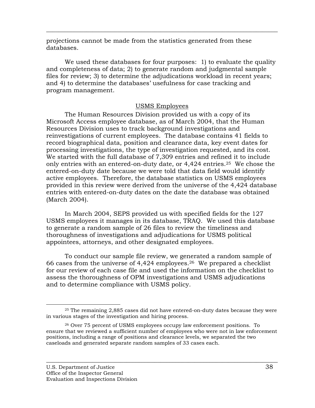projections cannot be made from the statistics generated from these databases.

We used these databases for four purposes: 1) to evaluate the quality and completeness of data; 2) to generate random and judgmental sample files for review; 3) to determine the adjudications workload in recent years; and 4) to determine the databases' usefulness for case tracking and program management.

 $\overline{\phantom{a}}$  , and the contribution of the contribution of the contribution of the contribution of the contribution of the contribution of the contribution of the contribution of the contribution of the contribution of the

### USMS Employees

The Human Resources Division provided us with a copy of its Microsoft Access employee database, as of March 2004, that the Human Resources Division uses to track background investigations and reinvestigations of current employees. The database contains 41 fields to record biographical data, position and clearance data, key event dates for processing investigations, the type of investigation requested, and its cost. We started with the full database of 7,309 entries and refined it to include only entries with an entered-on-duty date, or  $4,424$  entries.<sup>25</sup> We chose the entered-on-duty date because we were told that data field would identify active employees. Therefore, the database statistics on USMS employees provided in this review were derived from the universe of the 4,424 database entries with entered-on-duty dates on the date the database was obtained (March 2004).

In March 2004, SEPS provided us with specified fields for the 127 USMS employees it manages in its database, TRAQ. We used this database to generate a random sample of 26 files to review the timeliness and thoroughness of investigations and adjudications for USMS political appointees, attorneys, and other designated employees.

To conduct our sample file review, we generated a random sample of 66 cases from the universe of  $4,424$  employees.<sup>26</sup> We prepared a checklist for our review of each case file and used the information on the checklist to assess the thoroughness of OPM investigations and USMS adjudications and to determine compliance with USMS policy.

 <sup>25</sup> The remaining 2,885 cases did not have entered-on-duty dates because they were in various stages of the investigation and hiring process.

<sup>26</sup> Over 75 percent of USMS employees occupy law enforcement positions. To ensure that we reviewed a sufficient number of employees who were not in law enforcement positions, including a range of positions and clearance levels, we separated the two caseloads and generated separate random samples of 33 cases each.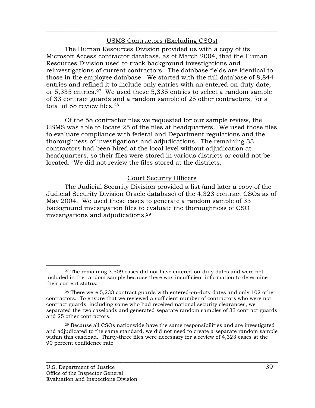### USMS Contractors (Excluding CSOs)

 $\overline{\phantom{a}}$  , and the contribution of the contribution of the contribution of the contribution of the contribution of the contribution of the contribution of the contribution of the contribution of the contribution of the

The Human Resources Division provided us with a copy of its Microsoft Access contractor database, as of March 2004, that the Human Resources Division used to track background investigations and reinvestigations of current contractors. The database fields are identical to those in the employee database. We started with the full database of 8,844 entries and refined it to include only entries with an entered-on-duty date, or 5,335 entries.27 We used these 5,335 entries to select a random sample of 33 contract guards and a random sample of 25 other contractors, for a total of 58 review files.28

Of the 58 contractor files we requested for our sample review, the USMS was able to locate 25 of the files at headquarters. We used those files to evaluate compliance with federal and Department regulations and the thoroughness of investigations and adjudications. The remaining 33 contractors had been hired at the local level without adjudication at headquarters, so their files were stored in various districts or could not be located. We did not review the files stored at the districts.

## Court Security Officers

The Judicial Security Division provided a list (and later a copy of the Judicial Security Division Oracle database) of the 4,323 contract CSOs as of May 2004. We used these cases to generate a random sample of 33 background investigation files to evaluate the thoroughness of CSO investigations and adjudications.29

 <sup>27</sup> The remaining 3,509 cases did not have entered-on-duty dates and were not included in the random sample because there was insufficient information to determine their current status.

<sup>28</sup> There were 5,233 contract guards with entered-on-duty dates and only 102 other contractors. To ensure that we reviewed a sufficient number of contractors who were not contract guards, including some who had received national security clearances, we separated the two caseloads and generated separate random samples of 33 contract guards and 25 other contractors.

<sup>29</sup> Because all CSOs nationwide have the same responsibilities and are investigated and adjudicated to the same standard, we did not need to create a separate random sample within this caseload. Thirty-three files were necessary for a review of 4,323 cases at the 90 percent confidence rate.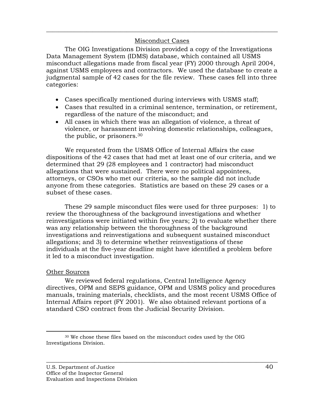## Misconduct Cases

 $\overline{\phantom{a}}$  , and the contribution of the contribution of the contribution of the contribution of the contribution of the contribution of the contribution of the contribution of the contribution of the contribution of the

The OIG Investigations Division provided a copy of the Investigations Data Management System (IDMS) database, which contained all USMS misconduct allegations made from fiscal year (FY) 2000 through April 2004, against USMS employees and contractors. We used the database to create a judgmental sample of 42 cases for the file review. These cases fell into three categories:

- Cases specifically mentioned during interviews with USMS staff;
- Cases that resulted in a criminal sentence, termination, or retirement, regardless of the nature of the misconduct; and
- All cases in which there was an allegation of violence, a threat of violence, or harassment involving domestic relationships, colleagues, the public, or prisoners.30

We requested from the USMS Office of Internal Affairs the case dispositions of the 42 cases that had met at least one of our criteria, and we determined that 29 (28 employees and 1 contractor) had misconduct allegations that were sustained. There were no political appointees, attorneys, or CSOs who met our criteria, so the sample did not include anyone from these categories. Statistics are based on these 29 cases or a subset of these cases.

These 29 sample misconduct files were used for three purposes: 1) to review the thoroughness of the background investigations and whether reinvestigations were initiated within five years; 2) to evaluate whether there was any relationship between the thoroughness of the background investigations and reinvestigations and subsequent sustained misconduct allegations; and 3) to determine whether reinvestigations of these individuals at the five-year deadline might have identified a problem before it led to a misconduct investigation.

## Other Sources

We reviewed federal regulations, Central Intelligence Agency directives, OPM and SEPS guidance, OPM and USMS policy and procedures manuals, training materials, checklists, and the most recent USMS Office of Internal Affairs report (FY 2001). We also obtained relevant portions of a standard CSO contract from the Judicial Security Division.

 <sup>30</sup> We chose these files based on the misconduct codes used by the OIG Investigations Division.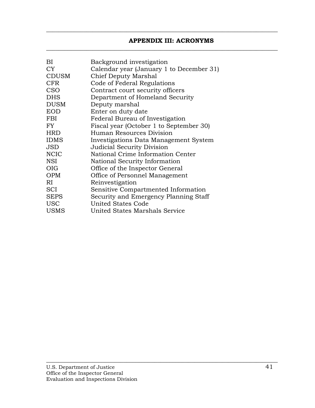## **APPENDIX III: ACRONYMS**

<span id="page-49-0"></span> $\overline{\phantom{a}}$  , and the contribution of the contribution of the contribution of the contribution of the contribution of the contribution of the contribution of the contribution of the contribution of the contribution of the

 $\overline{\phantom{a}}$  , and the contribution of the contribution of the contribution of the contribution of the contribution of the contribution of the contribution of the contribution of the contribution of the contribution of the

| Background investigation                                         |
|------------------------------------------------------------------|
| Calendar year (January 1 to December 31)<br>Chief Deputy Marshal |
| Code of Federal Regulations                                      |
| Contract court security officers                                 |
| Department of Homeland Security                                  |
| Deputy marshal                                                   |
| Enter on duty date                                               |
| Federal Bureau of Investigation                                  |
| Fiscal year (October 1 to September 30)                          |
| Human Resources Division                                         |
| Investigations Data Management System                            |
| <b>Judicial Security Division</b>                                |
| National Crime Information Center                                |
| National Security Information                                    |
| Office of the Inspector General                                  |
| Office of Personnel Management                                   |
| Reinvestigation                                                  |
| Sensitive Compartmented Information                              |
| Security and Emergency Planning Staff                            |
| <b>United States Code</b>                                        |
| United States Marshals Service                                   |
|                                                                  |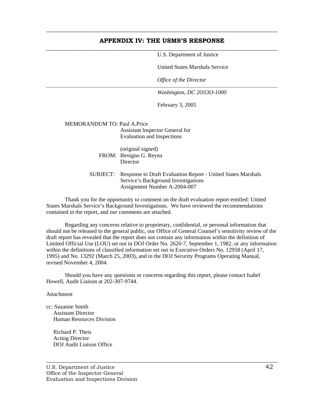#### **APPENDIX IV: THE USMS'S RESPONSE**   $\overline{\phantom{a}}$  , and the contribution of the contribution of the contribution of the contribution of the contribution of the contribution of the contribution of the contribution of the contribution of the contribution of the

<span id="page-50-0"></span> $\overline{\phantom{a}}$  , and the contribution of the contribution of the contribution of the contribution of the contribution of the contribution of the contribution of the contribution of the contribution of the contribution of the

U.S. Department of Justice

United States Marshals Service

*Office of the Director* 

*Washington, DC 2O53O-1000* 

February 3, 2005

MEMORANDUM TO: Paul A.Price Assistant lnspector General for Evaluation and Inspections

> (original signed) FROM: Benigno G. Reyna **Director**

SUBJECT: Response to Draft Evaluation Report - United States Marshals Service's Background Investigations Assignment Number A-2004-007

Thank you for the opportunity to comment on the draft evaluation report entitled: United States Marshals Service's Background Investigations. We have reviewed the recommendations contained in the report, and our comments are attached.

Regarding any concerns relative to proprietary, confidential, or personal information that should not be released to the general public, our Office of General Counsel's sensitivity review of the draft report has revealed that the report does not contain any information within the definition of Limited Official Use (LOU) set out in DOJ Order No. 2620-7, September 1, 1982, or any information within the definitions of classified information set out in Executive Orders No. 12958 (April 17, 1995) and No. 13292 (March 25, 2003), and in the DOJ Security Programs Operating Manual, revised November 4, 2004.

 $\overline{\phantom{a}}$  , and the contribution of the contribution of the contribution of the contribution of the contribution of the contribution of the contribution of the contribution of the contribution of the contribution of the

Should you have any questions or concerns regarding this report, please contact Isabel Howell, Audit Liaison at 202-307-9744.

Attachment

cc: Suzanne Smith Assistant Director Human Resources Division

 Richard P. Theis Acting Director DOJ Audit Liaison Office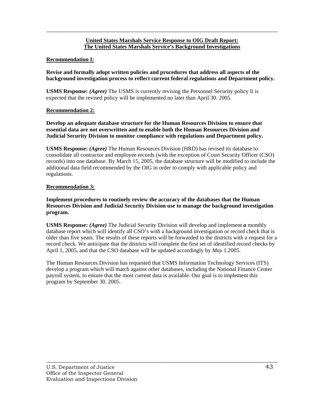#### **United States Marshals Service Response to OIG Draft Report: The United States Marshals Service's Background Investigations**

 $\overline{\phantom{a}}$  , and the contribution of the contribution of the contribution of the contribution of the contribution of the contribution of the contribution of the contribution of the contribution of the contribution of the

#### **Recommendation I:**

**Revise and formally adopt written policies and procedures that address all aspects of the background investigation process to reflect current federal regulations and Department policy.** 

**USMS Response:** *(Agree)* The USMS is currently revising the Personnel Security policy Ii is expected that the revised policy will be implemented no later than April 30. 2005.

#### **Recommendation 2:**

**Develop an adequate database structure for the Human Resources Division to ensure that essential data are not overwritten and to enable both the Human Resources Division and Judicial Security Division to monitor compliance with regulations and Department policy.** 

**USMS Response:** *(Agree)* The Human Resources Division (HRD) has revised its database to consolidate all contractor and employee records (with the exception of Court Security Officer (CSO) records) into one database. By March 15, 2005, the database structure will be modified to include the additional data field recommended by the OIG in order to comply with applicable policy and regulations.

#### **Recommendation 3:**

**Implement procedures to routinely review the accuracy of the databases that the Human Resources Division and Judicial Security Division use to manage the background investigation program.** 

**USMS Response:** *(Agree)* The Judicial Security Division will develop and implement *a* monthly database report which will identify all CSO's with a background investigation or record check that is older than five years. The results of these reports will be forwarded to the districts with a request for a record check. We anticipate that the districts will complete the first set of identified record checks by April 1, 2005, and that the CSO database will be updated accordingly by *May* 1.2005.

The Human Resources Division has requested that USMS Information Technology Services (ITS) develop a program which will match against other databases, including the National Finance Center payroll system, to ensure that the most current data is available. Our goal is to implement this program by September 30. 2005.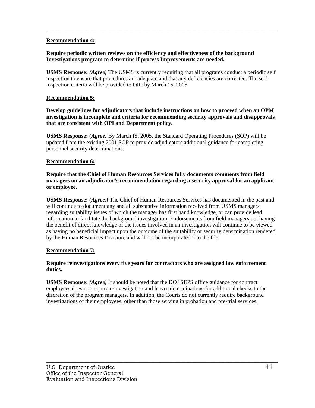#### **Recommendation 4:**

#### **Require periodic written reviews on the efficiency and effectiveness of the background Investigations program to determine if process Improvements are needed.**

**USMS Response:** *(Agree)* The USMS is currently requiring that all programs conduct a periodic self inspection to ensure that procedures arc adequate and that any deficiencies are corrected. The selfinspection criteria will be provided to OIG by March 15, 2005.

 $\overline{\phantom{a}}$  , and the contribution of the contribution of the contribution of the contribution of the contribution of the contribution of the contribution of the contribution of the contribution of the contribution of the

#### **Recommendation 5:**

**Develop guidelines for adjudicators that include instructions on how to proceed when an OPM investigation is incomplete and criteria for recommending security approvals and disapprovals that are consistent with OPI and Department policy.** 

**USMS Response: (***Agree)* By March IS, 2005, the Standard Operating Procedures (SOP) will be updated from the existing 2001 SOP to provide adjudicators additional guidance for completing personnel security determinations.

#### **Recommendation 6:**

**Require that the Chief of Human Resources Services fully documents comments from field managers on an adjudicator's recommendation regarding a security approval for an applicant or employee.** 

**USMS Response: (***Agree.)* The Chief of Human Resources Services has documented in the past and will continue to document any and all substantive information received from USMS managers regarding suitability issues of which the manager has first hand knowledge, or can provide lead information to facilitate the background investigation. Endorsements from field managers not having the benefit of direct knowledge of the issues involved in an investigation will continue to be viewed as having no beneficial impact upon the outcome of the suitability or security determination rendered by the Human Resources Division, and will not be incorporated into the file.

#### **Recommendation 7:**

#### **Require reinvestigations every five years for contractors who are assigned law enforcement duties.**

**USMS Response:** *(Agree)* It should be noted that the DOJ SEPS office guidance for contract employees does not require reinvestigation and leaves determinations for additional checks to the discretion of the program managers. In addition, the Courts do not currently require background investigations of their employees, other than those serving in probation and pre-trial services.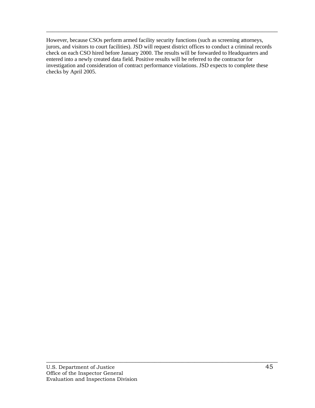However, because CSOs perform armed facility security functions (such as screening attorneys, jurors, and visitors to court facilities). JSD will request district offices to conduct a criminal records check on each CSO hired before January 2000. The results will be forwarded to Headquarters and entered into a newly created data field. Positive results will be referred to the contractor for investigation and consideration of contract performance violations. JSD expects to complete these checks by April 2005.

 $\overline{\phantom{a}}$  , and the contribution of the contribution of the contribution of the contribution of the contribution of the contribution of the contribution of the contribution of the contribution of the contribution of the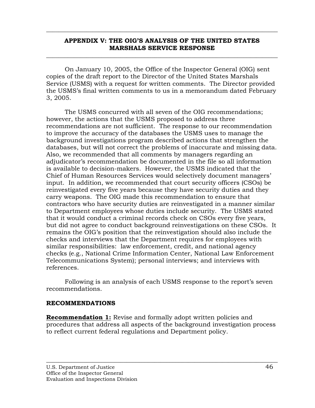## **APPENDIX V: THE OIG'S ANALYSIS OF THE UNITED STATES MARSHALS SERVICE RESPONSE**

\_\_\_\_\_\_\_\_\_\_\_\_\_\_\_\_\_\_\_\_\_\_\_\_\_\_\_\_\_\_\_\_\_\_\_\_\_\_\_\_\_\_\_\_\_\_\_\_\_\_\_\_\_\_\_\_\_\_\_\_\_\_\_\_\_\_\_\_\_\_\_\_\_\_\_

<span id="page-54-0"></span> $\overline{\phantom{a}}$  , and the contribution of the contribution of the contribution of the contribution of the contribution of the contribution of the contribution of the contribution of the contribution of the contribution of the

On January 10, 2005, the Office of the Inspector General (OIG) sent copies of the draft report to the Director of the United States Marshals Service (USMS) with a request for written comments. The Director provided the USMS's final written comments to us in a memorandum dated February 3, 2005.

The USMS concurred with all seven of the OIG recommendations; however, the actions that the USMS proposed to address three recommendations are not sufficient. The response to our recommendation to improve the accuracy of the databases the USMS uses to manage the background investigations program described actions that strengthen the databases, but will not correct the problems of inaccurate and missing data. Also, we recommended that all comments by managers regarding an adjudicator's recommendation be documented in the file so all information is available to decision-makers. However, the USMS indicated that the Chief of Human Resources Services would selectively document managers' input. In addition, we recommended that court security officers (CSOs) be reinvestigated every five years because they have security duties and they carry weapons. The OIG made this recommendation to ensure that contractors who have security duties are reinvestigated in a manner similar to Department employees whose duties include security. The USMS stated that it would conduct a criminal records check on CSOs every five years, but did not agree to conduct background reinvestigations on these CSOs. It remains the OIG's position that the reinvestigation should also include the checks and interviews that the Department requires for employees with similar responsibilities: law enforcement, credit, and national agency checks (e.g., National Crime Information Center, National Law Enforcement Telecommunications System); personal interviews; and interviews with references.

Following is an analysis of each USMS response to the report's seven recommendations.

## **RECOMMENDATIONS**

**Recommendation 1:** Revise and formally adopt written policies and procedures that address all aspects of the background investigation process to reflect current federal regulations and Department policy.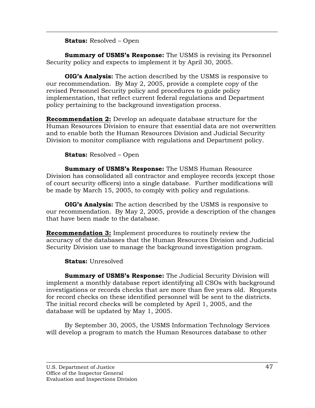## **Status:** Resolved – Open

**Summary of USMS's Response:** The USMS is revising its Personnel Security policy and expects to implement it by April 30, 2005.

 $\overline{\phantom{a}}$  , and the contribution of the contribution of the contribution of the contribution of the contribution of the contribution of the contribution of the contribution of the contribution of the contribution of the

**OIG's Analysis:** The action described by the USMS is responsive to our recommendation. By May 2, 2005, provide a complete copy of the revised Personnel Security policy and procedures to guide policy implementation, that reflect current federal regulations and Department policy pertaining to the background investigation process.

**Recommendation 2:** Develop an adequate database structure for the Human Resources Division to ensure that essential data are not overwritten and to enable both the Human Resources Division and Judicial Security Division to monitor compliance with regulations and Department policy.

**Status:** Resolved – Open

**Summary of USMS's Response:** The USMS Human Resource Division has consolidated all contractor and employee records (except those of court security officers) into a single database. Further modifications will be made by March 15, 2005, to comply with policy and regulations.

**OIG's Analysis:** The action described by the USMS is responsive to our recommendation. By May 2, 2005, provide a description of the changes that have been made to the database.

**Recommendation 3:** Implement procedures to routinely review the accuracy of the databases that the Human Resources Division and Judicial Security Division use to manage the background investigation program.

**Status:** Unresolved

**Summary of USMS's Response:** The Judicial Security Division will implement a monthly database report identifying all CSOs with background investigations or records checks that are more than five years old. Requests for record checks on these identified personnel will be sent to the districts. The initial record checks will be completed by April 1, 2005, and the database will be updated by May 1, 2005.

 By September 30, 2005, the USMS Information Technology Services will develop a program to match the Human Resources database to other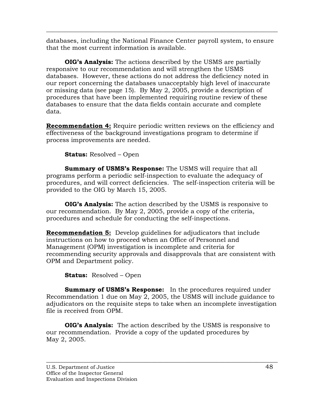databases, including the National Finance Center payroll system, to ensure that the most current information is available.

 $\overline{\phantom{a}}$  , and the contribution of the contribution of the contribution of the contribution of the contribution of the contribution of the contribution of the contribution of the contribution of the contribution of the

**OIG's Analysis:** The actions described by the USMS are partially responsive to our recommendation and will strengthen the USMS databases. However, these actions do not address the deficiency noted in our report concerning the databases unacceptably high level of inaccurate or missing data (see page 15). By May 2, 2005, provide a description of procedures that have been implemented requiring routine review of these databases to ensure that the data fields contain accurate and complete data.

**Recommendation 4:** Require periodic written reviews on the efficiency and effectiveness of the background investigations program to determine if process improvements are needed.

**Status:** Resolved – Open

**Summary of USMS's Response:** The USMS will require that all programs perform a periodic self-inspection to evaluate the adequacy of procedures, and will correct deficiencies. The self-inspection criteria will be provided to the OIG by March 15, 2005.

**OIG's Analysis:** The action described by the USMS is responsive to our recommendation. By May 2, 2005, provide a copy of the criteria, procedures and schedule for conducting the self-inspections.

**Recommendation 5:** Develop guidelines for adjudicators that include instructions on how to proceed when an Office of Personnel and Management (OPM) investigation is incomplete and criteria for recommending security approvals and disapprovals that are consistent with OPM and Department policy.

**Status:** Resolved – Open

**Summary of USMS's Response:** In the procedures required under Recommendation 1 due on May 2, 2005, the USMS will include guidance to adjudicators on the requisite steps to take when an incomplete investigation file is received from OPM.

**OIG's Analysis:** The action described by the USMS is responsive to our recommendation. Provide a copy of the updated procedures by May 2, 2005.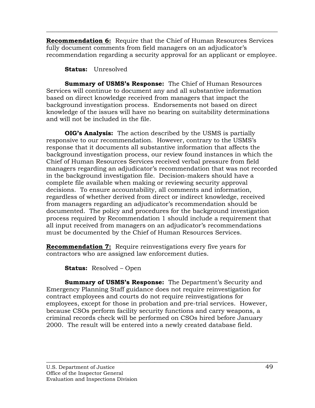**Recommendation 6:** Require that the Chief of Human Resources Services fully document comments from field managers on an adjudicator's recommendation regarding a security approval for an applicant or employee.

 $\overline{\phantom{a}}$  , and the contribution of the contribution of the contribution of the contribution of the contribution of the contribution of the contribution of the contribution of the contribution of the contribution of the

**Status:** Unresolved

**Summary of USMS's Response:** The Chief of Human Resources Services will continue to document any and all substantive information based on direct knowledge received from managers that impact the background investigation process. Endorsements not based on direct knowledge of the issues will have no bearing on suitability determinations and will not be included in the file.

**OIG's Analysis:** The action described by the USMS is partially responsive to our recommendation. However, contrary to the USMS's response that it documents all substantive information that affects the background investigation process, our review found instances in which the Chief of Human Resources Services received verbal pressure from field managers regarding an adjudicator's recommendation that was not recorded in the background investigation file. Decision-makers should have a complete file available when making or reviewing security approval decisions. To ensure accountability, all comments and information, regardless of whether derived from direct or indirect knowledge, received from managers regarding an adjudicator's recommendation should be documented. The policy and procedures for the background investigation process required by Recommendation 1 should include a requirement that all input received from managers on an adjudicator's recommendations must be documented by the Chief of Human Resources Services.

**Recommendation 7:** Require reinvestigations every five years for contractors who are assigned law enforcement duties.

**Status:** Resolved – Open

**Summary of USMS's Response:** The Department's Security and Emergency Planning Staff guidance does not require reinvestigation for contract employees and courts do not require reinvestigations for employees, except for those in probation and pre-trial services. However, because CSOs perform facility security functions and carry weapons, a criminal records check will be performed on CSOs hired before January 2000. The result will be entered into a newly created database field.